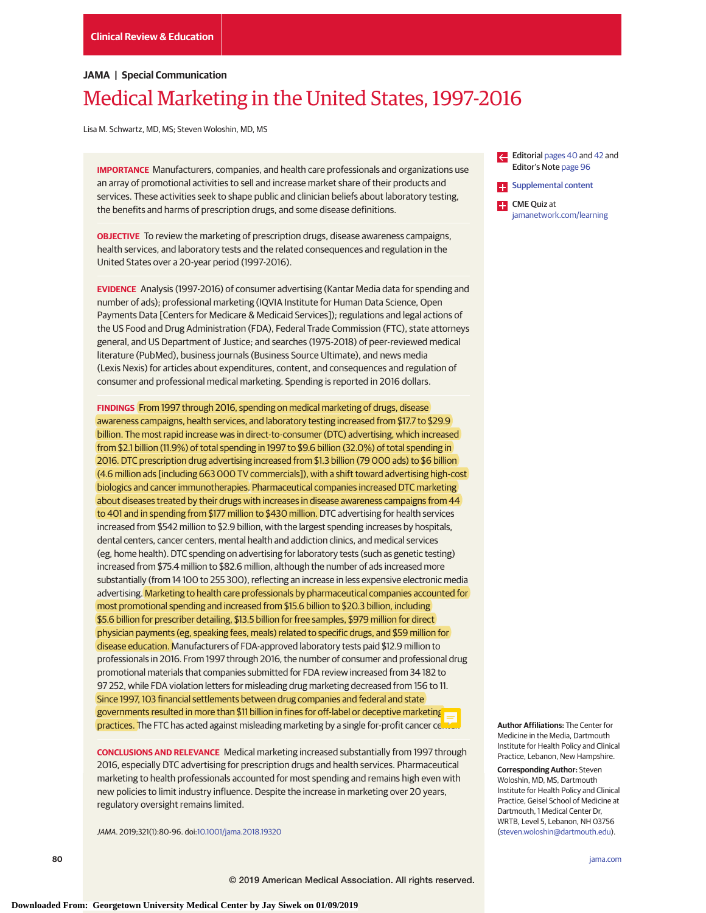# **JAMA | Special Communication**

# Medical Marketing in the United States, 1997-2016

Lisa M. Schwartz, MD, MS; Steven Woloshin, MD, MS

**IMPORTANCE** Manufacturers, companies, and health care professionals and organizations use an array of promotional activities to sell and increase market share of their products and services. These activities seek to shape public and clinician beliefs about laboratory testing, the benefits and harms of prescription drugs, and some disease definitions.

**OBJECTIVE** To review the marketing of prescription drugs, disease awareness campaigns, health services, and laboratory tests and the related consequences and regulation in the United States over a 20-year period (1997-2016).

**EVIDENCE** Analysis (1997-2016) of consumer advertising (Kantar Media data for spending and number of ads); professional marketing (IQVIA Institute for Human Data Science, Open Payments Data [Centers for Medicare & Medicaid Services]); regulations and legal actions of the US Food and Drug Administration (FDA), Federal Trade Commission (FTC), state attorneys general, and US Department of Justice; and searches (1975-2018) of peer-reviewed medical literature (PubMed), business journals (Business Source Ultimate), and news media (Lexis Nexis) for articles about expenditures, content, and consequences and regulation of consumer and professional medical marketing. Spending is reported in 2016 dollars.

**FINDINGS** From 1997 through 2016, spending on medical marketing of drugs, disease awareness campaigns, health services, and laboratory testing increased from \$17.7 to \$29.9 billion. The most rapid increase was in direct-to-consumer (DTC) advertising, which increased from \$2.1 billion (11.9%) of total spending in 1997 to \$9.6 billion (32.0%) of total spending in 2016. DTC prescription drug advertising increased from \$1.3 billion (79 000 ads) to \$6 billion (4.6 million ads [including 663 000 TV commercials]), with a shift toward advertising high-cost biologics and cancer immunotherapies. Pharmaceutical companies increased DTC marketing about diseases treated by their drugs with increases in disease awareness campaigns from 44 to 401 and in spending from \$177 million to \$430 million. DTC advertising for health services increased from \$542 million to \$2.9 billion, with the largest spending increases by hospitals, dental centers, cancer centers, mental health and addiction clinics, and medical services (eg, home health). DTC spending on advertising for laboratory tests (such as genetic testing) increased from \$75.4 million to \$82.6 million, although the number of ads increased more substantially (from 14 100 to 255 300), reflecting an increase in less expensive electronic media advertising. Marketing to health care professionals by pharmaceutical companies accounted for most promotional spending and increased from \$15.6 billion to \$20.3 billion, including \$5.6 billion for prescriber detailing, \$13.5 billion for free samples, \$979 million for direct physician payments (eg, speaking fees, meals) related to specific drugs, and \$59 million for disease education. Manufacturers of FDA-approved laboratory tests paid \$12.9 million to professionals in 2016. From 1997 through 2016, the number of consumer and professional drug promotional materials that companies submitted for FDA review increased from 34 182 to 97 252, while FDA violation letters for misleading drug marketing decreased from 156 to 11. Since 1997, 103 financial settlements between drug companies and federal and state governments resulted in more than \$11 billion in fines for off-label or deceptive marketing practices. The FTC has acted against misleading marketing by a single for-profit cancer center.

**CONCLUSIONS AND RELEVANCE** Medical marketing increased substantially from 1997 through 2016, especially DTC advertising for prescription drugs and health services. Pharmaceutical marketing to health professionals accounted for most spending and remains high even with new policies to limit industry influence. Despite the increase in marketing over 20 years, regulatory oversight remains limited.

JAMA. 2019;321(1):80-96. doi[:10.1001/jama.2018.19320](https://jama.jamanetwork.com/article.aspx?doi=10.1001/jama.2018.19320&utm_campaign=articlePDF%26utm_medium=articlePDFlink%26utm_source=articlePDF%26utm_content=jama.2018.19320)

Editorial [pages 40](https://jama.jamanetwork.com/article.aspx?doi=10.1001/jama.2018.19324&utm_campaign=articlePDF%26utm_medium=articlePDFlink%26utm_source=articlePDF%26utm_content=jama.2018.19320) and [42](https://jama.jamanetwork.com/article.aspx?doi=10.1001/jama.2018.20505&utm_campaign=articlePDF%26utm_medium=articlePDFlink%26utm_source=articlePDF%26utm_content=jama.2018.19320) and Editor's Note [page 96](https://jama.jamanetwork.com/article.aspx?doi=10.1001/jama.2018.20566&utm_campaign=articlePDF%26utm_medium=articlePDFlink%26utm_source=articlePDF%26utm_content=jama.2018.19320)

**Examplemental content** 

CME Quiz at [jamanetwork.com/learning](https://jama.jamanetwork.com/learning/article-quiz/?utm_campaign=articlePDF%26utm_medium=articlePDFlink%26utm_source=articlePDF%26utm_content=jama.2018.19320)

**Author Affiliations:** The Center for Medicine in the Media, Dartmouth Institute for Health Policy and Clinical Practice, Lebanon, New Hampshire.

**Corresponding Author:** Steven Woloshin, MD, MS, Dartmouth Institute for Health Policy and Clinical Practice, Geisel School of Medicine at Dartmouth, 1 Medical Center Dr, WRTB, Level 5, Lebanon, NH 03756 [\(steven.woloshin@dartmouth.edu\)](mailto:steven.woloshin@dartmouth.edu).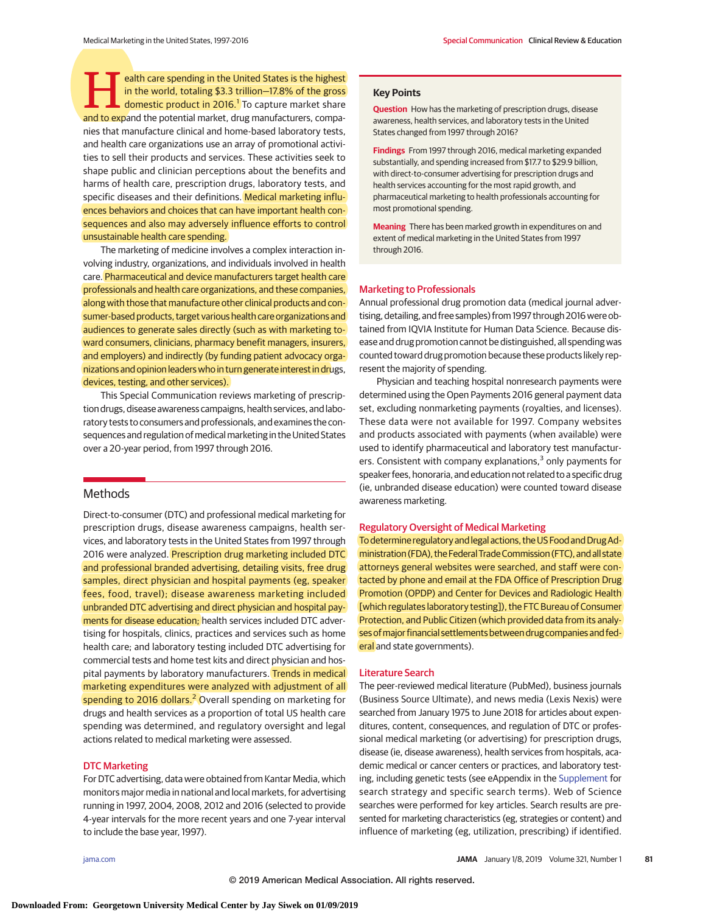ealth care spending in the United States is the highest in the world, totaling \$3.3 trillion—17.8% of the gross domestic product in 2016.<sup>1</sup> To capture market share and to expand the potential market, drug manufacturers, companies that manufacture clinical and home-based laboratory tests, and health care organizations use an array of promotional activities to sell their products and services. These activities seek to shape public and clinician perceptions about the benefits and harms of health care, prescription drugs, laboratory tests, and specific diseases and their definitions. Medical marketing influences behaviors and choices that can have important health consequences and also may adversely influence efforts to control unsustainable health care spending.

The marketing of medicine involves a complex interaction involving industry, organizations, and individuals involved in health care. Pharmaceutical and device manufacturers target health care professionals and health care organizations, and these companies, along with those that manufacture other clinical products and consumer-based products, target various health care organizations and audiences to generate sales directly (such as with marketing toward consumers, clinicians, pharmacy benefit managers, insurers, and employers) and indirectly (by funding patient advocacy organizations and opinion leaders who in turn generate interest in drugs, devices, testing, and other services).

This Special Communication reviews marketing of prescription drugs, disease awareness campaigns, health services, and laboratory tests to consumers and professionals, and examines the consequences and regulation of medical marketing in the United States over a 20-year period, from 1997 through 2016.

# **Methods**

Direct-to-consumer (DTC) and professional medical marketing for prescription drugs, disease awareness campaigns, health services, and laboratory tests in the United States from 1997 through 2016 were analyzed. Prescription drug marketing included DTC and professional branded advertising, detailing visits, free drug samples, direct physician and hospital payments (eg, speaker fees, food, travel); disease awareness marketing included unbranded DTC advertising and direct physician and hospital payments for disease education; health services included DTC advertising for hospitals, clinics, practices and services such as home health care; and laboratory testing included DTC advertising for commercial tests and home test kits and direct physician and hospital payments by laboratory manufacturers. Trends in medical marketing expenditures were analyzed with adjustment of all spending to 2016 dollars.<sup>2</sup> Overall spending on marketing for drugs and health services as a proportion of total US health care spending was determined, and regulatory oversight and legal actions related to medical marketing were assessed.

# DTC Marketing

For DTC advertising, data were obtained from Kantar Media, which monitors major media in national and local markets, for advertising running in 1997, 2004, 2008, 2012 and 2016 (selected to provide 4-year intervals for the more recent years and one 7-year interval to include the base year, 1997).

**Key Points**

**Question** How has the marketing of prescription drugs, disease awareness, health services, and laboratory tests in the United States changed from 1997 through 2016?

**Findings** From 1997 through 2016, medical marketing expanded substantially, and spending increased from \$17.7 to \$29.9 billion, with direct-to-consumer advertising for prescription drugs and health services accounting for the most rapid growth, and pharmaceutical marketing to health professionals accounting for most promotional spending.

**Meaning** There has been marked growth in expenditures on and extent of medical marketing in the United States from 1997 through 2016.

#### Marketing to Professionals

Annual professional drug promotion data (medical journal advertising, detailing, and free samples) from 1997 through 2016 were obtained from IQVIA Institute for Human Data Science. Because disease and drug promotion cannot be distinguished, all spending was counted toward drug promotion because these products likely represent the majority of spending.

Physician and teaching hospital nonresearch payments were determined using the Open Payments 2016 general payment data set, excluding nonmarketing payments (royalties, and licenses). These data were not available for 1997. Company websites and products associated with payments (when available) were used to identify pharmaceutical and laboratory test manufacturers. Consistent with company explanations, $3$  only payments for speaker fees, honoraria, and education not related to a specific drug (ie, unbranded disease education) were counted toward disease awareness marketing.

# Regulatory Oversight of Medical Marketing

To determine regulatory and legal actions, the US Food and Drug Administration (FDA), the Federal Trade Commission (FTC), and all state attorneys general websites were searched, and staff were contacted by phone and email at the FDA Office of Prescription Drug Promotion (OPDP) and Center for Devices and Radiologic Health [which regulates laboratory testing]), the FTC Bureau of Consumer Protection, and Public Citizen (which provided data from its analyses ofmajor financial settlements between drug companies and federal and state governments).

#### Literature Search

The peer-reviewed medical literature (PubMed), business journals (Business Source Ultimate), and news media (Lexis Nexis) were searched from January 1975 to June 2018 for articles about expenditures, content, consequences, and regulation of DTC or professional medical marketing (or advertising) for prescription drugs, disease (ie, disease awareness), health services from hospitals, academic medical or cancer centers or practices, and laboratory testing, including genetic tests (see eAppendix in the [Supplement](https://jama.jamanetwork.com/article.aspx?doi=10.1001/jama.2018.19320&utm_campaign=articlePDF%26utm_medium=articlePDFlink%26utm_source=articlePDF%26utm_content=jama.2018.19320) for search strategy and specific search terms). Web of Science searches were performed for key articles. Search results are presented for marketing characteristics (eg, strategies or content) and influence of marketing (eg, utilization, prescribing) if identified.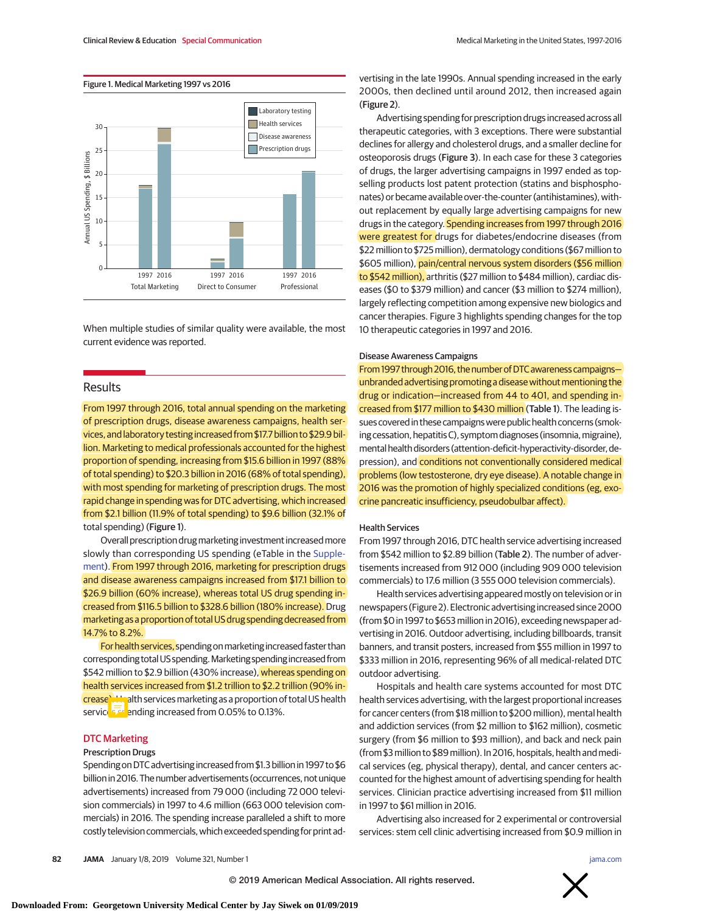#### Figure 1. Medical Marketing 1997 vs 2016



When multiple studies of similar quality were available, the most current evidence was reported.

# Results

From 1997 through 2016, total annual spending on the marketing of prescription drugs, disease awareness campaigns, health services, and laboratory testing increased from \$17.7 billion to \$29.9 billion. Marketing to medical professionals accounted for the highest proportion of spending, increasing from \$15.6 billion in 1997 (88% of total spending) to \$20.3 billion in 2016 (68% of total spending), with most spending for marketing of prescription drugs. The most rapid change in spending was for DTC advertising, which increased from \$2.1 billion (11.9% of total spending) to \$9.6 billion (32.1% of total spending) (Figure 1).

Overall prescription drug marketing investment increased more slowly than corresponding US spending (eTable in the [Supple](https://jama.jamanetwork.com/article.aspx?doi=10.1001/jama.2018.19320&utm_campaign=articlePDF%26utm_medium=articlePDFlink%26utm_source=articlePDF%26utm_content=jama.2018.19320)[ment\)](https://jama.jamanetwork.com/article.aspx?doi=10.1001/jama.2018.19320&utm_campaign=articlePDF%26utm_medium=articlePDFlink%26utm_source=articlePDF%26utm_content=jama.2018.19320). From 1997 through 2016, marketing for prescription drugs and disease awareness campaigns increased from \$17.1 billion to \$26.9 billion (60% increase), whereas total US drug spending increased from \$116.5 billion to \$328.6 billion (180% increase). Drug marketing as a proportion of total US drug spending decreased from 14.7% to 8.2%.

For health services, spending on marketing increased faster than corresponding totalUS spending.Marketing spendingincreased from \$542 million to \$2.9 billion (430% increase), whereas spending on health services increased from \$1.2 trillion to \$2.2 trillion (90% increase). Health services marketing as a proportion of total US health services are ending increased from 0.05% to 0.13%.

# DTC Marketing

#### Prescription Drugs

Spending onDTC advertising increased from \$1.3 billion in 1997 to \$6 billion in 2016. The number advertisements (occurrences, not unique advertisements) increased from 79 000 (including 72 000 television commercials) in 1997 to 4.6 million (663 000 television commercials) in 2016. The spending increase paralleled a shift to more costly television commercials, which exceeded spending for print advertising in the late 1990s. Annual spending increased in the early 2000s, then declined until around 2012, then increased again (Figure 2).

Advertising spending for prescription drugs increased across all therapeutic categories, with 3 exceptions. There were substantial declines for allergy and cholesterol drugs, and a smaller decline for osteoporosis drugs (Figure 3). In each case for these 3 categories of drugs, the larger advertising campaigns in 1997 ended as topselling products lost patent protection (statins and bisphosphonates) or became available over-the-counter (antihistamines), without replacement by equally large advertising campaigns for new drugs in the category. Spending increases from 1997 through 2016 were greatest for drugs for diabetes/endocrine diseases (from \$22 million to \$725 million), dermatology conditions (\$67 million to \$605 million), pain/central nervous system disorders (\$56 million to \$542 million), arthritis (\$27 million to \$484 million), cardiac diseases (\$0 to \$379 million) and cancer (\$3 million to \$274 million), largely reflecting competition among expensive new biologics and cancer therapies. Figure 3 highlights spending changes for the top 10 therapeutic categories in 1997 and 2016.

#### Disease Awareness Campaigns

From 1997 through 2016, the number of DTC awareness campaignsunbranded advertising promoting a disease without mentioning the drug or indication—increased from 44 to 401, and spending increased from \$177 million to \$430 million (Table 1). The leading issues covered in these campaigns were public health concerns (smoking cessation, hepatitis C), symptom diagnoses (insomnia, migraine), mental health disorders (attention-deficit-hyperactivity-disorder, depression), and conditions not conventionally considered medical problems (low testosterone, dry eye disease). A notable change in 2016 was the promotion of highly specialized conditions (eg, exocrine pancreatic insufficiency, pseudobulbar affect).

#### Health Services

From 1997 through 2016, DTC health service advertising increased from \$542 million to \$2.89 billion (Table 2). The number of advertisements increased from 912 000 (including 909 000 television commercials) to 17.6 million (3 555 000 television commercials).

Health services advertising appeared mostly on television or in newspapers (Figure 2). Electronic advertising increased since 2000 (from \$0 in 1997 to \$653 million in 2016), exceeding newspaper advertising in 2016. Outdoor advertising, including billboards, transit banners, and transit posters, increased from \$55 million in 1997 to \$333 million in 2016, representing 96% of all medical-related DTC outdoor advertising.

Hospitals and health care systems accounted for most DTC health services advertising, with the largest proportional increases for cancer centers (from \$18 million to \$200 million), mental health and addiction services (from \$2 million to \$162 million), cosmetic surgery (from \$6 million to \$93 million), and back and neck pain (from \$3 million to \$89 million). In 2016, hospitals, health and medical services (eg, physical therapy), dental, and cancer centers accounted for the highest amount of advertising spending for health services. Clinician practice advertising increased from \$11 million in 1997 to \$61 million in 2016.

Advertising also increased for 2 experimental or controversial services: stem cell clinic advertising increased from \$0.9 million in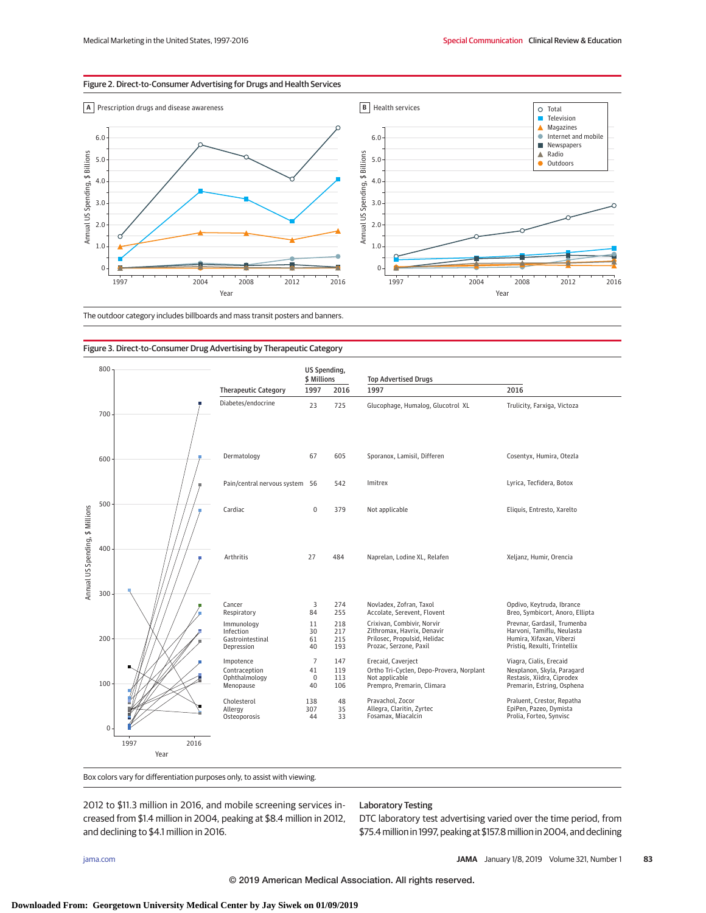# Figure 2. Direct-to-Consumer Advertising for Drugs and Health Services



The outdoor category includes billboards and mass transit posters and banners.



Box colors vary for differentiation purposes only, to assist with viewing.

2012 to \$11.3 million in 2016, and mobile screening services increased from \$1.4 million in 2004, peaking at \$8.4 million in 2012, and declining to \$4.1 million in 2016.

# Laboratory Testing

DTC laboratory test advertising varied over the time period, from \$75.4million in 1997, peaking at \$157.8million in 2004, and declining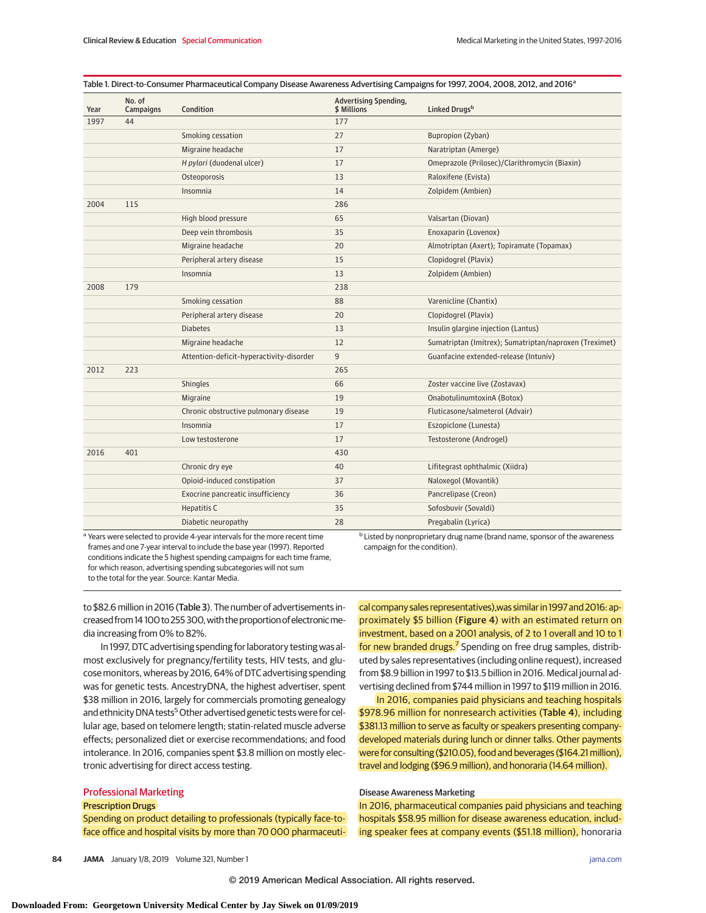|      | Table 1. Direct-to-Consumer Pharmaceutical Company Disease Awareness Advertising Campaigns for 1997, 2004, 2008, 2012, and 2016 <sup>a</sup> |                                          |                                             |                                                        |  |  |
|------|----------------------------------------------------------------------------------------------------------------------------------------------|------------------------------------------|---------------------------------------------|--------------------------------------------------------|--|--|
| Year | No. of<br><b>Campaigns</b>                                                                                                                   | Condition                                | <b>Advertising Spending,</b><br>\$ Millions | Linked Drugsb                                          |  |  |
| 1997 | 44                                                                                                                                           |                                          | 177                                         |                                                        |  |  |
|      |                                                                                                                                              | Smoking cessation                        | 27                                          | Bupropion (Zyban)                                      |  |  |
|      |                                                                                                                                              | Migraine headache                        | 17                                          | Naratriptan (Amerge)                                   |  |  |
|      |                                                                                                                                              | H pylori (duodenal ulcer)                | 17                                          | Omeprazole (Prilosec)/Clarithromycin (Biaxin)          |  |  |
|      |                                                                                                                                              | Osteoporosis                             | 13                                          | Raloxifene (Evista)                                    |  |  |
|      |                                                                                                                                              | Insomnia                                 | 14                                          | Zolpidem (Ambien)                                      |  |  |
| 2004 | 115                                                                                                                                          |                                          | 286                                         |                                                        |  |  |
|      |                                                                                                                                              | High blood pressure                      | 65                                          | Valsartan (Diovan)                                     |  |  |
|      |                                                                                                                                              | Deep vein thrombosis                     | 35                                          | Enoxaparin (Lovenox)                                   |  |  |
|      |                                                                                                                                              | Migraine headache                        | 20                                          | Almotriptan (Axert); Topiramate (Topamax)              |  |  |
|      |                                                                                                                                              | Peripheral artery disease                | 15                                          | Clopidogrel (Plavix)                                   |  |  |
|      |                                                                                                                                              | Insomnia                                 | 13                                          | Zolpidem (Ambien)                                      |  |  |
| 2008 | 179                                                                                                                                          |                                          | 238                                         |                                                        |  |  |
|      |                                                                                                                                              | Smoking cessation                        | 88                                          | Varenicline (Chantix)                                  |  |  |
|      |                                                                                                                                              | Peripheral artery disease                | 20                                          | Clopidogrel (Plavix)                                   |  |  |
|      |                                                                                                                                              | <b>Diabetes</b>                          | 13                                          | Insulin glargine injection (Lantus)                    |  |  |
|      |                                                                                                                                              | Migraine headache                        | 12                                          | Sumatriptan (Imitrex); Sumatriptan/naproxen (Treximet) |  |  |
|      |                                                                                                                                              | Attention-deficit-hyperactivity-disorder | 9                                           | Guanfacine extended-release (Intuniv)                  |  |  |
| 2012 | 223                                                                                                                                          |                                          | 265                                         |                                                        |  |  |
|      |                                                                                                                                              | Shingles                                 | 66                                          | Zoster vaccine live (Zostavax)                         |  |  |
|      |                                                                                                                                              | Migraine                                 | 19                                          | OnabotulinumtoxinA (Botox)                             |  |  |
|      |                                                                                                                                              | Chronic obstructive pulmonary disease    | 19                                          | Fluticasone/salmeterol (Advair)                        |  |  |
|      |                                                                                                                                              | Insomnia                                 | 17                                          | Eszopiclone (Lunesta)                                  |  |  |
|      |                                                                                                                                              | Low testosterone                         | 17                                          | Testosterone (Androgel)                                |  |  |
| 2016 | 401                                                                                                                                          |                                          | 430                                         |                                                        |  |  |
|      |                                                                                                                                              | Chronic dry eye                          | 40                                          | Lifitegrast ophthalmic (Xiidra)                        |  |  |
|      |                                                                                                                                              | Opioid-induced constipation              | 37                                          | Naloxegol (Movantik)                                   |  |  |
|      |                                                                                                                                              | Exocrine pancreatic insufficiency        | 36                                          | Pancrelipase (Creon)                                   |  |  |
|      |                                                                                                                                              | Hepatitis C                              | 35                                          | Sofosbuvir (Sovaldi)                                   |  |  |
|      |                                                                                                                                              | Diabetic neuropathy                      | 28                                          | Pregabalin (Lyrica)                                    |  |  |
|      |                                                                                                                                              |                                          |                                             |                                                        |  |  |

<sup>a</sup> Years were selected to provide 4-year intervals for the more recent time frames and one 7-year interval to include the base year (1997). Reported conditions indicate the 5 highest spending campaigns for each time frame, for which reason, advertising spending subcategories will not sum to the total for the year. Source: Kantar Media.

<sup>b</sup> Listed by nonproprietary drug name (brand name, sponsor of the awareness campaign for the condition).

to \$82.6 million in 2016 (Table 3). The number of advertisements increased from 14 100 to 255 300, with the proportion of electronic media increasing from 0% to 82%.

In 1997, DTC advertising spending for laboratory testing was almost exclusively for pregnancy/fertility tests, HIV tests, and glucose monitors, whereas by 2016, 64% of DTC advertising spending was for genetic tests. AncestryDNA, the highest advertiser, spent \$38 million in 2016, largely for commercials promoting genealogy and ethnicity DNA tests<sup>5</sup> Other advertised genetic tests were for cellular age, based on telomere length; statin-related muscle adverse effects; personalized diet or exercise recommendations; and food intolerance. In 2016, companies spent \$3.8 million on mostly electronic advertising for direct access testing.

# Professional Marketing

#### Prescription Drugs

Spending on product detailing to professionals (typically face-toface office and hospital visits by more than 70 000 pharmaceutical company sales representatives),was similar in 1997 and 2016: approximately \$5 billion (Figure 4) with an estimated return on investment, based on a 2001 analysis, of 2 to 1 overall and 10 to 1 for new branded drugs.<sup>7</sup> Spending on free drug samples, distributed by sales representatives (including online request), increased from \$8.9 billion in 1997 to \$13.5 billion in 2016. Medical journal advertising declined from \$744 million in 1997 to \$119 million in 2016.

In 2016, companies paid physicians and teaching hospitals \$978.96 million for nonresearch activities (Table 4), including \$381.13 million to serve as faculty or speakers presenting companydeveloped materials during lunch or dinner talks. Other payments were for consulting (\$210.05), food and beverages (\$164.21 million), travel and lodging (\$96.9 million), and honoraria (14.64 million).

# Disease Awareness Marketing

In 2016, pharmaceutical companies paid physicians and teaching hospitals \$58.95 million for disease awareness education, including speaker fees at company events (\$51.18 million), honoraria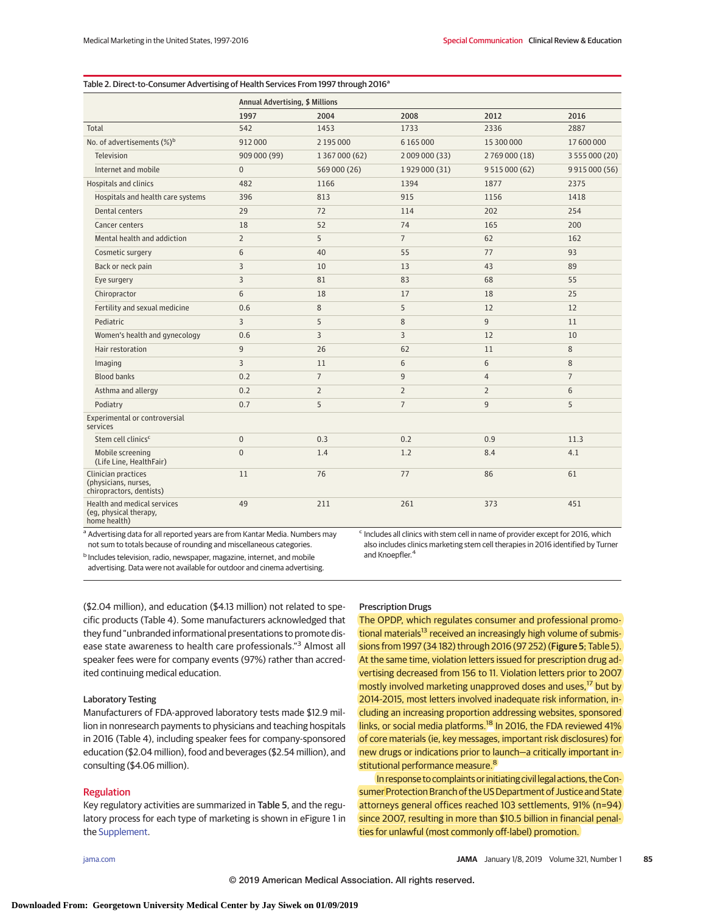|                                                                         | Annual Advertising, \$ Millions |                |                |                    |                    |
|-------------------------------------------------------------------------|---------------------------------|----------------|----------------|--------------------|--------------------|
|                                                                         | 1997                            | 2004           | 2008           | 2012               | 2016               |
| Total                                                                   | 542                             | 1453           | 1733           | 2336               | 2887               |
| No. of advertisements (%) <sup>b</sup>                                  | 912000                          | 2 195 000      | 6165000        | 15 300 000         | 17 600 000         |
| Television                                                              | 909 000 (99)                    | 1 367 000 (62) | 2009000 (33)   | 2769000 (18)       | 3 5 5 5 0 0 0 (20) |
| Internet and mobile                                                     | $\mathbf{0}$                    | 569 000 (26)   | 1929000 (31)   | 9 5 1 5 0 0 0 (62) | 9915000 (56)       |
| Hospitals and clinics                                                   | 482                             | 1166           | 1394           | 1877               | 2375               |
| Hospitals and health care systems                                       | 396                             | 813            | 915            | 1156               | 1418               |
| <b>Dental centers</b>                                                   | 29                              | 72             | 114            | 202                | 254                |
| Cancer centers                                                          | 18                              | 52             | 74             | 165                | 200                |
| Mental health and addiction                                             | $\overline{2}$                  | 5              | $\overline{7}$ | 62                 | 162                |
| Cosmetic surgery                                                        | 6                               | 40             | 55             | 77                 | 93                 |
| Back or neck pain                                                       | 3                               | 10             | 13             | 43                 | 89                 |
| Eye surgery                                                             | $\overline{3}$                  | 81             | 83             | 68                 | 55                 |
| Chiropractor                                                            | 6                               | 18             | 17             | 18                 | 25                 |
| Fertility and sexual medicine                                           | 0.6                             | 8              | 5              | 12                 | 12                 |
| Pediatric                                                               | $\overline{3}$                  | 5              | 8              | 9                  | 11                 |
| Women's health and gynecology                                           | 0.6                             | 3              | 3              | 12                 | 10                 |
| Hair restoration                                                        | 9                               | 26             | 62             | 11                 | 8                  |
| Imaging                                                                 | $\overline{3}$                  | 11             | 6              | 6                  | 8                  |
| <b>Blood banks</b>                                                      | 0.2                             | $\overline{7}$ | 9              | $\overline{4}$     | $\overline{7}$     |
| Asthma and allergy                                                      | 0.2                             | $\overline{2}$ | $\overline{2}$ | $\overline{2}$     | 6                  |
| Podiatry                                                                | 0.7                             | 5              | $\overline{7}$ | 9                  | 5                  |
| Experimental or controversial<br>services                               |                                 |                |                |                    |                    |
| Stem cell clinics <sup>c</sup>                                          | $\pmb{0}$                       | 0.3            | 0.2            | 0.9                | 11.3               |
| Mobile screening<br>(Life Line, HealthFair)                             | $\Omega$                        | 1.4            | 1.2            | 8.4                | 4.1                |
| Clinician practices<br>(physicians, nurses,<br>chiropractors, dentists) | 11                              | 76             | 77             | 86                 | 61                 |
| Health and medical services<br>(eg. physical therapy.<br>home health)   | 49                              | 211            | 261            | 373                | 451                |

#### Table 2. Direct-to-Consumer Advertising of Health Services From 1997 through 2016a

a Advertising data for all reported years are from Kantar Media. Numbers may not sum to totals because of rounding and miscellaneous categories.

<sup>b</sup> Includes television, radio, newspaper, magazine, internet, and mobile and Knoepfler.<sup>4</sup>

advertising. Data were not available for outdoor and cinema advertising.

<sup>c</sup> Includes all clinics with stem cell in name of provider except for 2016, which also includes clinics marketing stem cell therapies in 2016 identified by Turner

(\$2.04 million), and education (\$4.13 million) not related to specific products (Table 4). Some manufacturers acknowledged that they fund "unbranded informational presentations to promote disease state awareness to health care professionals."<sup>3</sup> Almost all speaker fees were for company events (97%) rather than accredited continuing medical education.

#### Laboratory Testing

Manufacturers of FDA-approved laboratory tests made \$12.9 million in nonresearch payments to physicians and teaching hospitals in 2016 (Table 4), including speaker fees for company-sponsored education (\$2.04 million), food and beverages (\$2.54 million), and consulting (\$4.06 million).

# Regulation

Key regulatory activities are summarized in Table 5, and the regulatory process for each type of marketing is shown in eFigure 1 in the [Supplement.](https://jama.jamanetwork.com/article.aspx?doi=10.1001/jama.2018.19320&utm_campaign=articlePDF%26utm_medium=articlePDFlink%26utm_source=articlePDF%26utm_content=jama.2018.19320)

# Prescription Drugs

The OPDP, which regulates consumer and professional promotional materials<sup>13</sup> received an increasingly high volume of submissions from 1997 (34 182) through 2016 (97 252) (Figure 5; Table 5). At the same time, violation letters issued for prescription drug advertising decreased from 156 to 11. Violation letters prior to 2007 mostly involved marketing unapproved doses and uses,<sup>17</sup> but by 2014-2015, most letters involved inadequate risk information, including an increasing proportion addressing websites, sponsored links, or social media platforms.<sup>18</sup> In 2016, the FDA reviewed 41% of core materials (ie, key messages, important risk disclosures) for new drugs or indications prior to launch—a critically important institutional performance measure.<sup>8</sup>

In response to complaints or initiating civil legal actions, the Consumer Protection Branch of the US Department of Justice and State attorneys general offices reached 103 settlements, 91% (n=94) since 2007, resulting in more than \$10.5 billion in financial penalties for unlawful (most commonly off-label) promotion.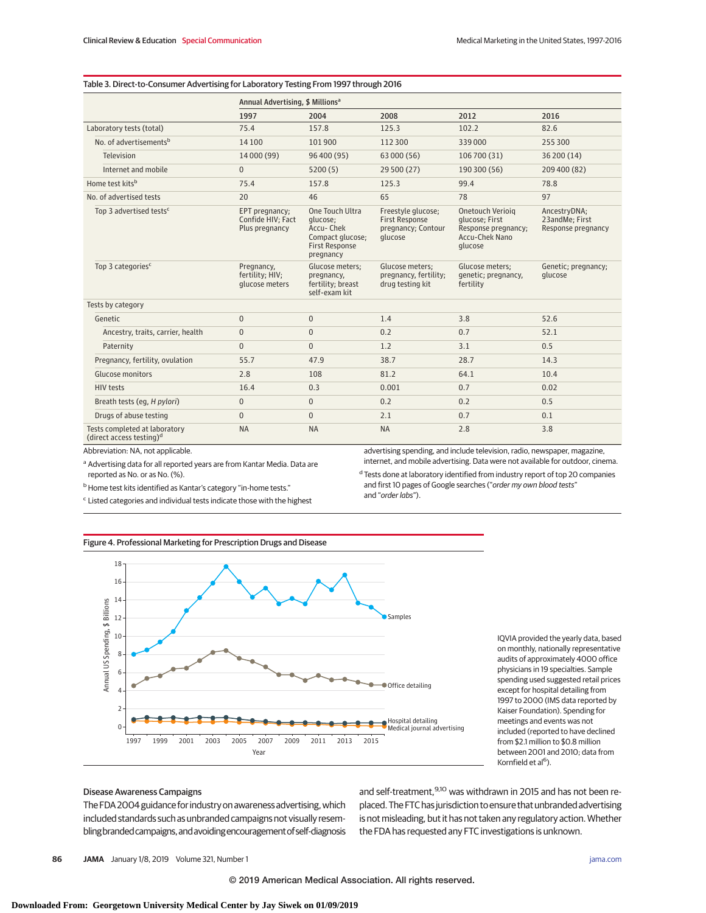# Table 3. Direct-to-Consumer Advertising for Laboratory Testing From 1997 through 2016

|                                                                       | Annual Advertising, \$ Millions <sup>a</sup>          |                                                                                                    |                                                                              |                                                                                        |                                                      |
|-----------------------------------------------------------------------|-------------------------------------------------------|----------------------------------------------------------------------------------------------------|------------------------------------------------------------------------------|----------------------------------------------------------------------------------------|------------------------------------------------------|
|                                                                       | 1997                                                  | 2004                                                                                               | 2008                                                                         | 2012                                                                                   | 2016                                                 |
| Laboratory tests (total)                                              | 75.4                                                  | 157.8                                                                                              | 125.3                                                                        | 102.2                                                                                  | 82.6                                                 |
| No. of advertisements <sup>b</sup>                                    | 14 100                                                | 101900                                                                                             | 112 300                                                                      | 339000                                                                                 | 255 300                                              |
|                                                                       |                                                       |                                                                                                    |                                                                              |                                                                                        |                                                      |
| Television                                                            | 14 000 (99)                                           | 96 400 (95)                                                                                        | 63 000 (56)                                                                  | 106 700 (31)                                                                           | 36 200 (14)                                          |
| Internet and mobile                                                   | $\Omega$                                              | 5200(5)                                                                                            | 29 500 (27)                                                                  | 190 300 (56)                                                                           | 209 400 (82)                                         |
| Home test kits <sup>b</sup>                                           | 75.4                                                  | 157.8                                                                                              | 125.3                                                                        | 99.4                                                                                   | 78.8                                                 |
| No. of advertised tests                                               | 20                                                    | 46                                                                                                 | 65                                                                           | 78                                                                                     | 97                                                   |
| Top 3 advertised tests <sup>c</sup>                                   | EPT pregnancy;<br>Confide HIV: Fact<br>Plus pregnancy | One Touch Ultra<br>qlucose;<br>Accu-Chek<br>Compact glucose;<br><b>First Response</b><br>pregnancy | Freestyle glucose;<br><b>First Response</b><br>pregnancy; Contour<br>qlucose | Onetouch Verioiq<br>glucose; First<br>Response pregnancy;<br>Accu-Chek Nano<br>qlucose | AncestryDNA;<br>23andMe; First<br>Response pregnancy |
| Top 3 categories <sup>c</sup>                                         | Pregnancy,<br>fertility; HIV;<br>glucose meters       | Glucose meters;<br>pregnancy,<br>fertility; breast<br>self-exam kit                                | Glucose meters;<br>pregnancy, fertility;<br>drug testing kit                 | Glucose meters;<br>genetic; pregnancy,<br>fertility                                    | Genetic; pregnancy;<br>qlucose                       |
| Tests by category                                                     |                                                       |                                                                                                    |                                                                              |                                                                                        |                                                      |
| Genetic                                                               | $\Omega$                                              | $\Omega$                                                                                           | 1.4                                                                          | 3.8                                                                                    | 52.6                                                 |
| Ancestry, traits, carrier, health                                     | $\overline{0}$                                        | $\Omega$                                                                                           | 0.2                                                                          | 0.7                                                                                    | 52.1                                                 |
| Paternity                                                             | $\mathbf{0}$                                          | $\Omega$                                                                                           | 1.2                                                                          | 3.1                                                                                    | 0.5                                                  |
| Pregnancy, fertility, ovulation                                       | 55.7                                                  | 47.9                                                                                               | 38.7                                                                         | 28.7                                                                                   | 14.3                                                 |
| Glucose monitors                                                      | 2.8                                                   | 108                                                                                                | 81.2                                                                         | 64.1                                                                                   | 10.4                                                 |
| <b>HIV tests</b>                                                      | 16.4                                                  | 0.3                                                                                                | 0.001                                                                        | 0.7                                                                                    | 0.02                                                 |
| Breath tests (eg, H pylori)                                           | $\overline{0}$                                        | $\mathbf{0}$                                                                                       | 0.2                                                                          | 0.2                                                                                    | 0.5                                                  |
| Drugs of abuse testing                                                | $\overline{0}$                                        | $\Omega$                                                                                           | 2.1                                                                          | 0.7                                                                                    | 0.1                                                  |
| Tests completed at laboratory<br>(direct access testing) <sup>d</sup> | <b>NA</b>                                             | <b>NA</b>                                                                                          | <b>NA</b>                                                                    | 2.8                                                                                    | 3.8                                                  |

Abbreviation: NA, not applicable.

<sup>a</sup> Advertising data for all reported years are from Kantar Media. Data are reported as No. or as No. (%).

advertising spending, and include television, radio, newspaper, magazine, internet, and mobile advertising. Data were not available for outdoor, cinema.

<sup>b</sup> Home test kits identified as Kantar's category "in-home tests."

<sup>d</sup> Tests done at laboratory identified from industry report of top 20 companies and first 10 pages of Google searches ("order my own blood tests" and "order labs").

<sup>c</sup> Listed categories and individual tests indicate those with the highest





IQVIA provided the yearly data, based on monthly, nationally representative audits of approximately 4000 office physicians in 19 specialties. Sample spending used suggested retail prices except for hospital detailing from 1997 to 2000 (IMS data reported by Kaiser Foundation). Spending for meetings and events was not included (reported to have declined from \$2.1 million to \$0.8 million between 2001 and 2010; data from Kornfield et al<sup>6</sup>).

# Disease Awareness Campaigns

The FDA 2004 guidance for industry on awareness advertising, which included standards such as unbranded campaigns not visually resembling branded campaigns, and avoiding encouragement of self-diagnosis and self-treatment,<sup>9,10</sup> was withdrawn in 2015 and has not been replaced. The FTC has jurisdiction toensure that unbranded advertising is not misleading, but it has not taken any regulatory action. Whether the FDA has requested any FTC investigations is unknown.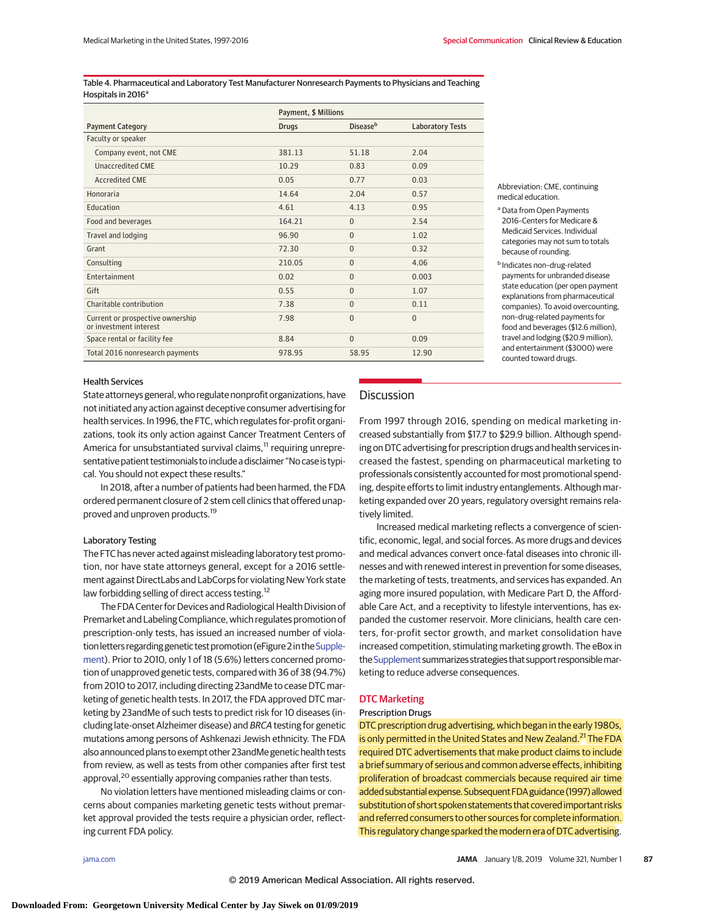Table 4. Pharmaceutical and Laboratory Test Manufacturer Nonresearch Payments to Physicians and Teaching Hospitals in 2016<sup>a</sup>

|                                                            | Payment, \$ Millions |                             |                         |  |
|------------------------------------------------------------|----------------------|-----------------------------|-------------------------|--|
| <b>Payment Category</b>                                    | <b>Drugs</b>         | <b>Disease</b> <sup>b</sup> | <b>Laboratory Tests</b> |  |
| Faculty or speaker                                         |                      |                             |                         |  |
| Company event, not CME                                     | 381.13               | 51.18                       | 2.04                    |  |
| <b>Unaccredited CMF</b>                                    | 10.29                | 0.83                        | 0.09                    |  |
| <b>Accredited CME</b>                                      | 0.05                 | 0.77                        | 0.03                    |  |
| Honoraria                                                  | 14.64                | 2.04                        | 0.57                    |  |
| Education                                                  | 4.61                 | 4.13                        | 0.95                    |  |
| Food and beverages                                         | 164.21               | $\Omega$                    | 2.54                    |  |
| Travel and lodging                                         | 96.90                | $\Omega$                    | 1.02                    |  |
| Grant                                                      | 72.30                | $\Omega$                    | 0.32                    |  |
| Consulting                                                 | 210.05               | $\Omega$                    | 4.06                    |  |
| Entertainment                                              | 0.02                 | $\Omega$                    | 0.003                   |  |
| Gift                                                       | 0.55                 | $\Omega$                    | 1.07                    |  |
| Charitable contribution                                    | 7.38                 | $\Omega$                    | 0.11                    |  |
| Current or prospective ownership<br>or investment interest | 7.98                 | $\Omega$                    | $\Omega$                |  |
| Space rental or facility fee                               | 8.84                 | $\Omega$                    | 0.09                    |  |
| Total 2016 nonresearch payments                            | 978.95               | 58.95                       | 12.90                   |  |

Abbreviation: CME, continuing medical education.

a Data from Open Payments 2016–Centers for Medicare & Medicaid Services. Individual categories may not sum to totals because of rounding.

<sup>b</sup> Indicates non–drug-related payments for unbranded disease state education (per open payment explanations from pharmaceutical companies). To avoid overcounting, non–drug-related payments for food and beverages (\$12.6 million), travel and lodging (\$20.9 million), and entertainment (\$3000) were counted toward drugs.

# Health Services

State attorneys general, who regulate nonprofit organizations, have not initiated any action against deceptive consumer advertising for health services. In 1996, the FTC, which regulates for-profit organizations, took its only action against Cancer Treatment Centers of America for unsubstantiated survival claims,<sup>11</sup> requiring unrepresentative patient testimonials to include a disclaimer "No case is typical. You should not expect these results."

In 2018, after a number of patients had been harmed, the FDA ordered permanent closure of 2 stem cell clinics that offered unapproved and unproven products.<sup>19</sup>

#### Laboratory Testing

The FTC has never acted against misleading laboratory test promotion, nor have state attorneys general, except for a 2016 settlement against DirectLabs and LabCorps for violating New York state law forbidding selling of direct access testing.<sup>12</sup>

The FDA Center for Devices and Radiological Health Division of Premarket and Labeling Compliance, which regulates promotion of prescription-only tests, has issued an increased number of viola-tion letters regarding genetic test promotion (eFigure 2 in the [Supple](https://jama.jamanetwork.com/article.aspx?doi=10.1001/jama.2018.19320&utm_campaign=articlePDF%26utm_medium=articlePDFlink%26utm_source=articlePDF%26utm_content=jama.2018.19320)[ment\)](https://jama.jamanetwork.com/article.aspx?doi=10.1001/jama.2018.19320&utm_campaign=articlePDF%26utm_medium=articlePDFlink%26utm_source=articlePDF%26utm_content=jama.2018.19320). Prior to 2010, only 1 of 18 (5.6%) letters concerned promotion of unapproved genetic tests, compared with 36 of 38 (94.7%) from 2010 to 2017, including directing 23andMe to cease DTC marketing of genetic health tests. In 2017, the FDA approved DTC marketing by 23andMe of such tests to predict risk for 10 diseases (including late-onset Alzheimer disease) and BRCA testing for genetic mutations among persons of Ashkenazi Jewish ethnicity. The FDA also announced plans to exempt other 23andMe genetic health tests from review, as well as tests from other companies after first test approval,<sup>20</sup> essentially approving companies rather than tests.

No violation letters have mentioned misleading claims or concerns about companies marketing genetic tests without premarket approval provided the tests require a physician order, reflecting current FDA policy.

# **Discussion**

From 1997 through 2016, spending on medical marketing increased substantially from \$17.7 to \$29.9 billion. Although spending on DTC advertising for prescription drugs and health services increased the fastest, spending on pharmaceutical marketing to professionals consistently accounted for most promotional spending, despite efforts to limit industry entanglements. Although marketing expanded over 20 years, regulatory oversight remains relatively limited.

Increased medical marketing reflects a convergence of scientific, economic, legal, and social forces. As more drugs and devices and medical advances convert once-fatal diseases into chronic illnesses and with renewed interest in prevention for some diseases, the marketing of tests, treatments, and services has expanded. An aging more insured population, with Medicare Part D, the Affordable Care Act, and a receptivity to lifestyle interventions, has expanded the customer reservoir. More clinicians, health care centers, for-profit sector growth, and market consolidation have increased competition, stimulating marketing growth. The eBox in the Supplement summarizes strategies that support responsible marketing to reduce adverse consequences.

#### DTC Marketing

#### Prescription Drugs

DTC prescription drug advertising, which began in the early 1980s, is only permitted in the United States and New Zealand.<sup>21</sup> The FDA required DTC advertisements that make product claims to include a brief summary of serious and common adverse effects, inhibiting proliferation of broadcast commercials because required air time added substantial expense. Subsequent FDA guidance (1997) allowed substitution of short spoken statements that covered important risks and referred consumers to other sources for complete information. This regulatory change sparked the modern era of DTC advertising.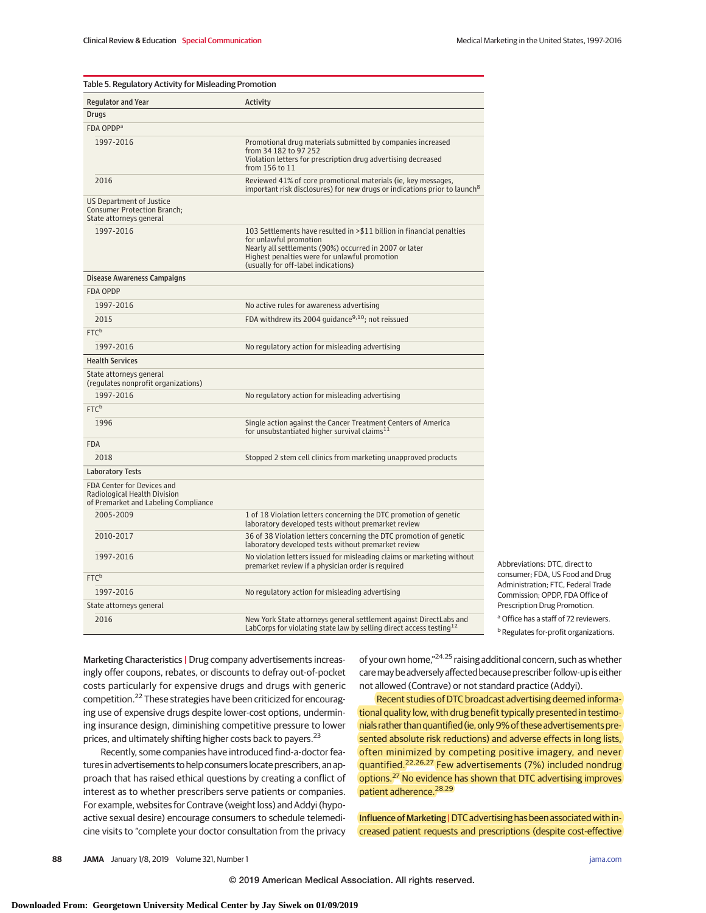| Table 5. Regulatory Activity for Misleading Promotion                                              |                                                                                                                                                                                                                                                    |
|----------------------------------------------------------------------------------------------------|----------------------------------------------------------------------------------------------------------------------------------------------------------------------------------------------------------------------------------------------------|
| <b>Regulator and Year</b>                                                                          | Activity                                                                                                                                                                                                                                           |
| <b>Drugs</b>                                                                                       |                                                                                                                                                                                                                                                    |
| FDA OPDP <sup>a</sup>                                                                              |                                                                                                                                                                                                                                                    |
| 1997-2016                                                                                          | Promotional drug materials submitted by companies increased<br>from 34 182 to 97 252<br>Violation letters for prescription drug advertising decreased<br>from 156 to 11                                                                            |
| 2016                                                                                               | Reviewed 41% of core promotional materials (ie, key messages,<br>important risk disclosures) for new drugs or indications prior to launch <sup>8</sup>                                                                                             |
| <b>US Department of Justice</b><br><b>Consumer Protection Branch:</b><br>State attorneys general   |                                                                                                                                                                                                                                                    |
| 1997-2016                                                                                          | 103 Settlements have resulted in > \$11 billion in financial penalties<br>for unlawful promotion<br>Nearly all settlements (90%) occurred in 2007 or later<br>Highest penalties were for unlawful promotion<br>(usually for off-label indications) |
| <b>Disease Awareness Campaigns</b>                                                                 |                                                                                                                                                                                                                                                    |
| <b>FDA OPDP</b>                                                                                    |                                                                                                                                                                                                                                                    |
| 1997-2016                                                                                          | No active rules for awareness advertising                                                                                                                                                                                                          |
| 2015                                                                                               | FDA withdrew its 2004 guidance <sup>9,10</sup> ; not reissued                                                                                                                                                                                      |
| FTC <sup>b</sup>                                                                                   |                                                                                                                                                                                                                                                    |
| 1997-2016                                                                                          | No regulatory action for misleading advertising                                                                                                                                                                                                    |
| <b>Health Services</b>                                                                             |                                                                                                                                                                                                                                                    |
| State attorneys general<br>(regulates nonprofit organizations)                                     |                                                                                                                                                                                                                                                    |
| 1997-2016                                                                                          | No regulatory action for misleading advertising                                                                                                                                                                                                    |
| FTC <sup>b</sup>                                                                                   |                                                                                                                                                                                                                                                    |
| 1996                                                                                               | Single action against the Cancer Treatment Centers of America<br>for unsubstantiated higher survival claims <sup>11</sup>                                                                                                                          |
| <b>FDA</b>                                                                                         |                                                                                                                                                                                                                                                    |
| 2018                                                                                               | Stopped 2 stem cell clinics from marketing unapproved products                                                                                                                                                                                     |
| <b>Laboratory Tests</b>                                                                            |                                                                                                                                                                                                                                                    |
| FDA Center for Devices and<br>Radiological Health Division<br>of Premarket and Labeling Compliance |                                                                                                                                                                                                                                                    |
| 2005-2009                                                                                          | 1 of 18 Violation letters concerning the DTC promotion of genetic<br>laboratory developed tests without premarket review                                                                                                                           |
| 2010-2017                                                                                          | 36 of 38 Violation letters concerning the DTC promotion of genetic<br>laboratory developed tests without premarket review                                                                                                                          |
| 1997-2016                                                                                          | No violation letters issued for misleading claims or marketing without<br>premarket review if a physician order is required                                                                                                                        |
| FTC <sup>b</sup>                                                                                   |                                                                                                                                                                                                                                                    |
| 1997-2016                                                                                          | No regulatory action for misleading advertising                                                                                                                                                                                                    |
| State attorneys general                                                                            |                                                                                                                                                                                                                                                    |
| 2016                                                                                               | New York State attorneys general settlement against DirectLabs and<br>LabCorps for violating state law by selling direct access testing <sup>12</sup>                                                                                              |

Abbreviations: DTC, direct to consumer; FDA, US Food and Drug Administration; FTC, Federal Trade Commission; OPDP, FDA Office of Prescription Drug Promotion. a Office has a staff of 72 reviewers. **b** Regulates for-profit organizations.

Marketing Characteristics | Drug company advertisements increasingly offer coupons, rebates, or discounts to defray out-of-pocket costs particularly for expensive drugs and drugs with generic competition.<sup>22</sup> These strategies have been criticized for encouraging use of expensive drugs despite lower-cost options, undermining insurance design, diminishing competitive pressure to lower prices, and ultimately shifting higher costs back to payers.<sup>23</sup>

Recently, some companies have introduced find-a-doctor features in advertisements to help consumers locate prescribers, an approach that has raised ethical questions by creating a conflict of interest as to whether prescribers serve patients or companies. For example, websites for Contrave (weight loss) and Addyi (hypoactive sexual desire) encourage consumers to schedule telemedicine visits to "complete your doctor consultation from the privacy

of your own home,"24,25 raising additional concern, such as whether caremay be adversely affected because prescriber follow-up iseither not allowed (Contrave) or not standard practice (Addyi).

Recent studies of DTC broadcast advertising deemed informational quality low, with drug benefit typically presented in testimonials rather than quantified (ie, only 9% of these advertisements presented absolute risk reductions) and adverse effects in long lists, often minimized by competing positive imagery, and never quantified.22,26,27 Few advertisements (7%) included nondrug options.<sup>27</sup> No evidence has shown that DTC advertising improves patient adherence.<sup>28,29</sup>

Influence of Marketing |DTC advertising has been associated with increased patient requests and prescriptions (despite cost-effective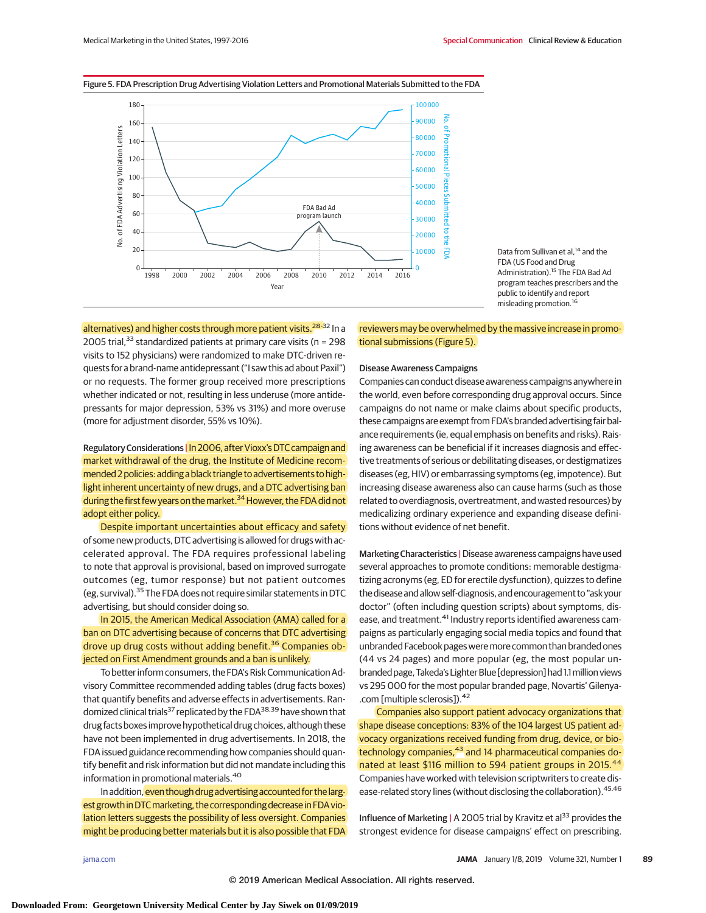#### Figure 5. FDA Prescription Drug Advertising Violation Letters and Promotional Materials Submitted to the FDA



Data from Sullivan et al,<sup>14</sup> and the FDA (US Food and Drug Administration).15 The FDA Bad Ad program teaches prescribers and the public to identify and report misleading promotion.<sup>16</sup>

alternatives) and higher costs through more patient visits.<sup>28-32</sup> In a 2005 trial,  $33$  standardized patients at primary care visits (n = 298 visits to 152 physicians) were randomized to make DTC-driven requests for a brand-name antidepressant ("I saw this ad about Paxil") or no requests. The former group received more prescriptions whether indicated or not, resulting in less underuse (more antidepressants for major depression, 53% vs 31%) and more overuse (more for adjustment disorder, 55% vs 10%).

Regulatory Considerations | In 2006, after Vioxx's DTC campaign and market withdrawal of the drug, the Institute of Medicine recommended 2 policies: adding a black triangle to advertisements to highlight inherent uncertainty of new drugs, and a DTC advertising ban during the first few years on the market.<sup>34</sup> However, the FDA did not adopt either policy.

Despite important uncertainties about efficacy and safety of some new products, DTC advertising is allowed for drugs with accelerated approval. The FDA requires professional labeling to note that approval is provisional, based on improved surrogate outcomes (eg, tumor response) but not patient outcomes (eg, survival).35The FDA does not require similar statements in DTC advertising, but should consider doing so.

In 2015, the American Medical Association (AMA) called for a ban on DTC advertising because of concerns that DTC advertising drove up drug costs without adding benefit.<sup>36</sup> Companies objected on First Amendment grounds and a ban is unlikely.

To better inform consumers, the FDA's Risk Communication Advisory Committee recommended adding tables (drug facts boxes) that quantify benefits and adverse effects in advertisements. Randomized clinical trials<sup>37</sup> replicated by the FDA<sup>38,39</sup> have shown that drug facts boxes improve hypothetical drug choices, although these have not been implemented in drug advertisements. In 2018, the FDA issued guidance recommending how companies should quantify benefit and risk information but did not mandate including this information in promotional materials.<sup>40</sup>

In addition, even though drug advertising accounted for the largest growth in DTC marketing, the corresponding decrease in FDA violation letters suggests the possibility of less oversight. Companies might be producing better materials but it is also possible that FDA reviewers may be overwhelmed by the massive increase in promotional submissions (Figure 5).

#### Disease Awareness Campaigns

Companies can conduct disease awareness campaigns anywhere in the world, even before corresponding drug approval occurs. Since campaigns do not name or make claims about specific products, these campaigns are exempt from FDA's branded advertising fair balance requirements (ie, equal emphasis on benefits and risks). Raising awareness can be beneficial if it increases diagnosis and effective treatments of serious or debilitating diseases, or destigmatizes diseases (eg, HIV) or embarrassing symptoms (eg, impotence). But increasing disease awareness also can cause harms (such as those related to overdiagnosis, overtreatment, and wasted resources) by medicalizing ordinary experience and expanding disease definitions without evidence of net benefit.

Marketing Characteristics |Disease awareness campaigns have used several approaches to promote conditions: memorable destigmatizing acronyms (eg, ED for erectile dysfunction), quizzes to define the disease and allow self-diagnosis, and encouragement to "ask your doctor" (often including question scripts) about symptoms, disease, and treatment.<sup>41</sup> Industry reports identified awareness campaigns as particularly engaging social media topics and found that unbranded Facebook pages weremore common than branded ones (44 vs 24 pages) and more popular (eg, the most popular unbranded page, Takeda's Lighter Blue [depression] had 1.1 million views vs 295 000 for the most popular branded page, Novartis' Gilenya- .com [multiple sclerosis]).<sup>42</sup>

Companies also support patient advocacy organizations that shape disease conceptions: 83% of the 104 largest US patient advocacy organizations received funding from drug, device, or biotechnology companies,<sup>43</sup> and 14 pharmaceutical companies donated at least \$116 million to 594 patient groups in 2015.<sup>44</sup> Companies have worked with television scriptwriters to create disease-related story lines (without disclosing the collaboration). 45,46

Influence of Marketing | A 2005 trial by Kravitz et al<sup>33</sup> provides the strongest evidence for disease campaigns' effect on prescribing.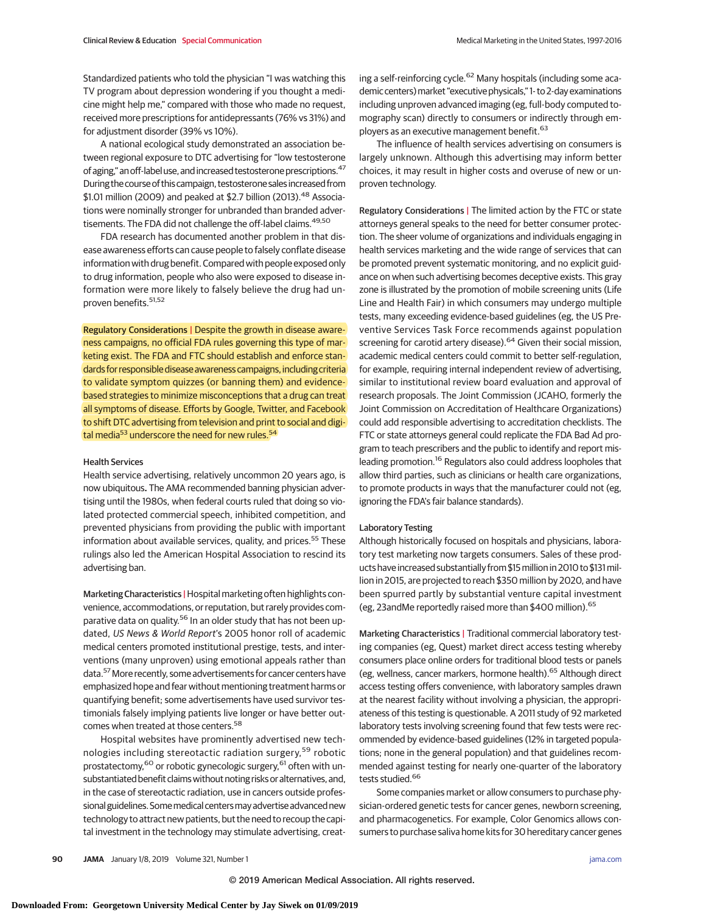Standardized patients who told the physician "I was watching this TV program about depression wondering if you thought a medicine might help me," compared with those who made no request, received more prescriptions for antidepressants (76% vs 31%) and for adjustment disorder (39% vs 10%).

A national ecological study demonstrated an association between regional exposure to DTC advertising for "low testosterone of aging," an off-label use, and increased testosterone prescriptions.<sup>47</sup> During thecourse of thiscampaign, testosterone sales increased from \$1.01 million (2009) and peaked at \$2.7 billion (2013).<sup>48</sup> Associations were nominally stronger for unbranded than branded advertisements. The FDA did not challenge the off-label claims.<sup>49,50</sup>

FDA research has documented another problem in that disease awareness efforts can cause people to falsely conflate disease information with drug benefit. Compared with people exposed only to drug information, people who also were exposed to disease information were more likely to falsely believe the drug had unproven benefits.<sup>51,52</sup>

Regulatory Considerations | Despite the growth in disease awareness campaigns, no official FDA rules governing this type of marketing exist. The FDA and FTC should establish and enforce standards for responsible disease awareness campaigns, including criteria to validate symptom quizzes (or banning them) and evidencebased strategies to minimize misconceptions that a drug can treat all symptoms of disease. Efforts by Google, Twitter, and Facebook to shift DTC advertising from television and print to social and digital media<sup>53</sup> underscore the need for new rules.<sup>54</sup>

#### Health Services

Health service advertising, relatively uncommon 20 years ago, is now ubiquitous**.** The AMA recommended banning physician advertising until the 1980s, when federal courts ruled that doing so violated protected commercial speech, inhibited competition, and prevented physicians from providing the public with important information about available services, quality, and prices.<sup>55</sup> These rulings also led the American Hospital Association to rescind its advertising ban.

Marketing Characteristics |Hospital marketing often highlights convenience, accommodations, or reputation, but rarely provides comparative data on quality.<sup>56</sup> In an older study that has not been updated, US News & World Report's 2005 honor roll of academic medical centers promoted institutional prestige, tests, and interventions (many unproven) using emotional appeals rather than data.57More recently, some advertisements for cancer centers have emphasized hope and fear without mentioning treatment harms or quantifying benefit; some advertisements have used survivor testimonials falsely implying patients live longer or have better outcomes when treated at those centers.<sup>58</sup>

Hospital websites have prominently advertised new technologies including stereotactic radiation surgery,<sup>59</sup> robotic prostatectomy, <sup>60</sup> or robotic gynecologic surgery, <sup>61</sup> often with unsubstantiated benefit claims without noting risks or alternatives, and, in the case of stereotactic radiation, use in cancers outside professional guidelines. Some medical centers may advertise advanced new technology to attract new patients, but the need to recoup the capital investment in the technology may stimulate advertising, creating a self-reinforcing cycle.<sup>62</sup> Many hospitals (including some academic centers)market "executive physicals," 1- to 2-dayexaminations including unproven advanced imaging (eg, full-body computed tomography scan) directly to consumers or indirectly through employers as an executive management benefit.<sup>63</sup>

The influence of health services advertising on consumers is largely unknown. Although this advertising may inform better choices, it may result in higher costs and overuse of new or unproven technology.

Regulatory Considerations | The limited action by the FTC or state attorneys general speaks to the need for better consumer protection. The sheer volume of organizations and individuals engaging in health services marketing and the wide range of services that can be promoted prevent systematic monitoring, and no explicit guidance on when such advertising becomes deceptive exists. This gray zone is illustrated by the promotion of mobile screening units (Life Line and Health Fair) in which consumers may undergo multiple tests, many exceeding evidence-based guidelines (eg, the US Preventive Services Task Force recommends against population screening for carotid artery disease).<sup>64</sup> Given their social mission, academic medical centers could commit to better self-regulation, for example, requiring internal independent review of advertising, similar to institutional review board evaluation and approval of research proposals. The Joint Commission (JCAHO, formerly the Joint Commission on Accreditation of Healthcare Organizations) could add responsible advertising to accreditation checklists. The FTC or state attorneys general could replicate the FDA Bad Ad program to teach prescribers and the public to identify and report misleading promotion.<sup>16</sup> Regulators also could address loopholes that allow third parties, such as clinicians or health care organizations, to promote products in ways that the manufacturer could not (eg, ignoring the FDA's fair balance standards).

#### Laboratory Testing

Although historically focused on hospitals and physicians, laboratory test marketing now targets consumers. Sales of these products have increased substantially from \$15million in 2010 to \$131million in 2015, are projected to reach \$350 million by 2020, and have been spurred partly by substantial venture capital investment (eg, 23andMe reportedly raised more than \$400 million).<sup>65</sup>

Marketing Characteristics | Traditional commercial laboratory testing companies (eg, Quest) market direct access testing whereby consumers place online orders for traditional blood tests or panels (eg, wellness, cancer markers, hormone health).<sup>65</sup> Although direct access testing offers convenience, with laboratory samples drawn at the nearest facility without involving a physician, the appropriateness of this testing is questionable. A 2011 study of 92 marketed laboratory tests involving screening found that few tests were recommended by evidence-based guidelines (12% in targeted populations; none in the general population) and that guidelines recommended against testing for nearly one-quarter of the laboratory tests studied.<sup>66</sup>

Some companies market or allow consumers to purchase physician-ordered genetic tests for cancer genes, newborn screening, and pharmacogenetics. For example, Color Genomics allows consumers to purchase saliva home kits for 30 hereditary cancer genes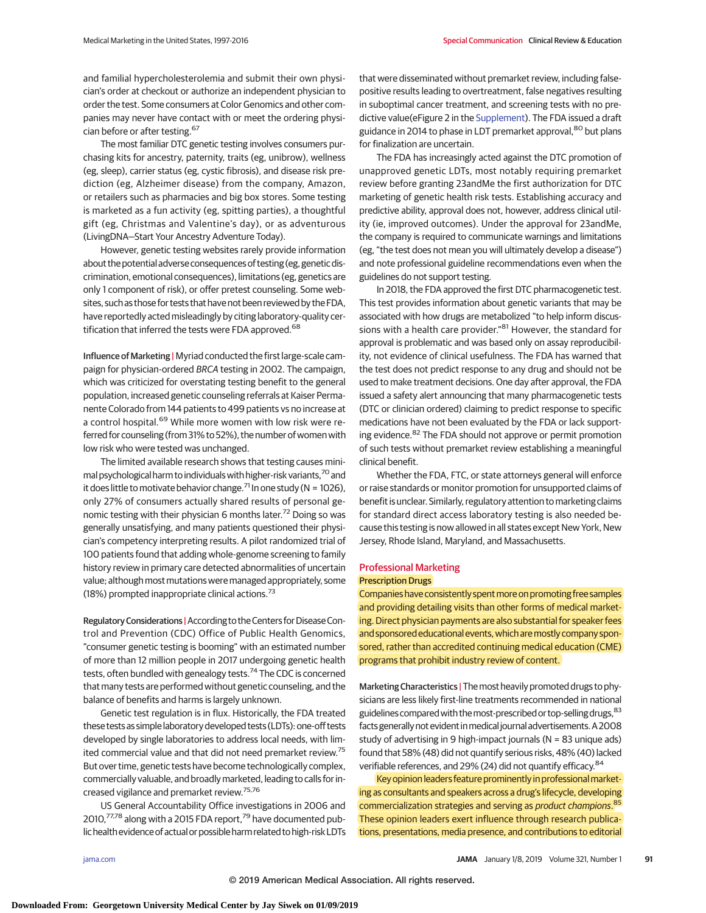and familial hypercholesterolemia and submit their own physician's order at checkout or authorize an independent physician to order the test. Some consumers at Color Genomics and other companies may never have contact with or meet the ordering physician before or after testing.<sup>67</sup>

The most familiar DTC genetic testing involves consumers purchasing kits for ancestry, paternity, traits (eg, unibrow), wellness (eg, sleep), carrier status (eg, cystic fibrosis), and disease risk prediction (eg, Alzheimer disease) from the company, Amazon, or retailers such as pharmacies and big box stores. Some testing is marketed as a fun activity (eg, spitting parties), a thoughtful gift (eg, Christmas and Valentine's day), or as adventurous (LivingDNA—Start Your Ancestry Adventure Today).

However, genetic testing websites rarely provide information about the potential adverse consequences of testing (eg, genetic discrimination, emotional consequences), limitations (eg, genetics are only 1 component of risk), or offer pretest counseling. Some websites, such as those for tests that have not been reviewed by the FDA, have reportedly acted misleadingly by citing laboratory-quality certification that inferred the tests were FDA approved.<sup>68</sup>

Influence of Marketing | Myriad conducted the first large-scale campaign for physician-ordered BRCA testing in 2002. The campaign, which was criticized for overstating testing benefit to the general population, increased genetic counseling referrals at Kaiser Permanente Colorado from 144 patients to 499 patients vs no increase at a control hospital.<sup>69</sup> While more women with low risk were referred for counseling (from 31% to 52%), the number of women with low risk who were tested was unchanged.

The limited available research shows that testing causes minimal psychological harm to individuals with higher-risk variants,<sup>70</sup> and it does little to motivate behavior change.<sup>71</sup> In one study (N = 1026), only 27% of consumers actually shared results of personal genomic testing with their physician 6 months later.<sup>72</sup> Doing so was generally unsatisfying, and many patients questioned their physician's competency interpreting results. A pilot randomized trial of 100 patients found that adding whole-genome screening to family history review in primary care detected abnormalities of uncertain value; although most mutations were managed appropriately, some (18%) prompted inappropriate clinical actions.<sup>73</sup>

Regulatory Considerations | According to the Centers for Disease Control and Prevention (CDC) Office of Public Health Genomics, "consumer genetic testing is booming" with an estimated number of more than 12 million people in 2017 undergoing genetic health tests, often bundled with genealogy tests.<sup>74</sup> The CDC is concerned that many tests are performed without genetic counseling, and the balance of benefits and harms is largely unknown.

Genetic test regulation is in flux. Historically, the FDA treated these tests as simple laboratory developed tests (LDTs): one-off tests developed by single laboratories to address local needs, with limited commercial value and that did not need premarket review.<sup>75</sup> But over time, genetic tests have become technologically complex, commercially valuable, and broadlymarketed, leading to calls for increased vigilance and premarket review.75,76

US General Accountability Office investigations in 2006 and 2010,<sup>77,78</sup> along with a 2015 FDA report,<sup>79</sup> have documented public health evidence of actual or possible harm related to high-risk LDTs that were disseminated without premarket review, including falsepositive results leading to overtreatment, false negatives resulting in suboptimal cancer treatment, and screening tests with no predictive value(eFigure 2 in the [Supplement\)](https://jama.jamanetwork.com/article.aspx?doi=10.1001/jama.2018.19320&utm_campaign=articlePDF%26utm_medium=articlePDFlink%26utm_source=articlePDF%26utm_content=jama.2018.19320). The FDA issued a draft guidance in 2014 to phase in LDT premarket approval,<sup>80</sup> but plans for finalization are uncertain.

The FDA has increasingly acted against the DTC promotion of unapproved genetic LDTs, most notably requiring premarket review before granting 23andMe the first authorization for DTC marketing of genetic health risk tests. Establishing accuracy and predictive ability, approval does not, however, address clinical utility (ie, improved outcomes). Under the approval for 23andMe, the company is required to communicate warnings and limitations (eg, "the test does not mean you will ultimately develop a disease") and note professional guideline recommendations even when the guidelines do not support testing.

In 2018, the FDA approved the first DTC pharmacogenetic test. This test provides information about genetic variants that may be associated with how drugs are metabolized "to help inform discussions with a health care provider."<sup>81</sup> However, the standard for approval is problematic and was based only on assay reproducibility, not evidence of clinical usefulness. The FDA has warned that the test does not predict response to any drug and should not be used to make treatment decisions. One day after approval, the FDA issued a safety alert announcing that many pharmacogenetic tests (DTC or clinician ordered) claiming to predict response to specific medications have not been evaluated by the FDA or lack supporting evidence.<sup>82</sup> The FDA should not approve or permit promotion of such tests without premarket review establishing a meaningful clinical benefit.

Whether the FDA, FTC, or state attorneys general will enforce or raise standards or monitor promotion for unsupported claims of benefit is unclear. Similarly, regulatory attention tomarketing claims for standard direct access laboratory testing is also needed because this testing is now allowed in all states except New York, New Jersey, Rhode Island, Maryland, and Massachusetts.

# Professional Marketing Prescription Drugs

Companies have consistently spent more on promoting free samples and providing detailing visits than other forms of medical marketing. Direct physician payments are also substantial for speaker fees and sponsored educational events, which are mostly company sponsored, rather than accredited continuing medical education (CME) programs that prohibit industry review of content.

Marketing Characteristics | The most heavily promoted drugs to physicians are less likely first-line treatments recommended in national guidelines compared with the most-prescribed or top-selling drugs, 83 facts generally notevident inmedical journaladvertisements.A 2008 study of advertising in 9 high-impact journals (N = 83 unique ads) found that 58% (48) did not quantify serious risks, 48% (40) lacked verifiable references, and 29% (24) did not quantify efficacy.<sup>84</sup>

Key opinion leaders feature prominently in professional marketing as consultants and speakers across a drug's lifecycle, developing commercialization strategies and serving as *product champions*.<sup>85</sup> These opinion leaders exert influence through research publications, presentations, media presence, and contributions to editorial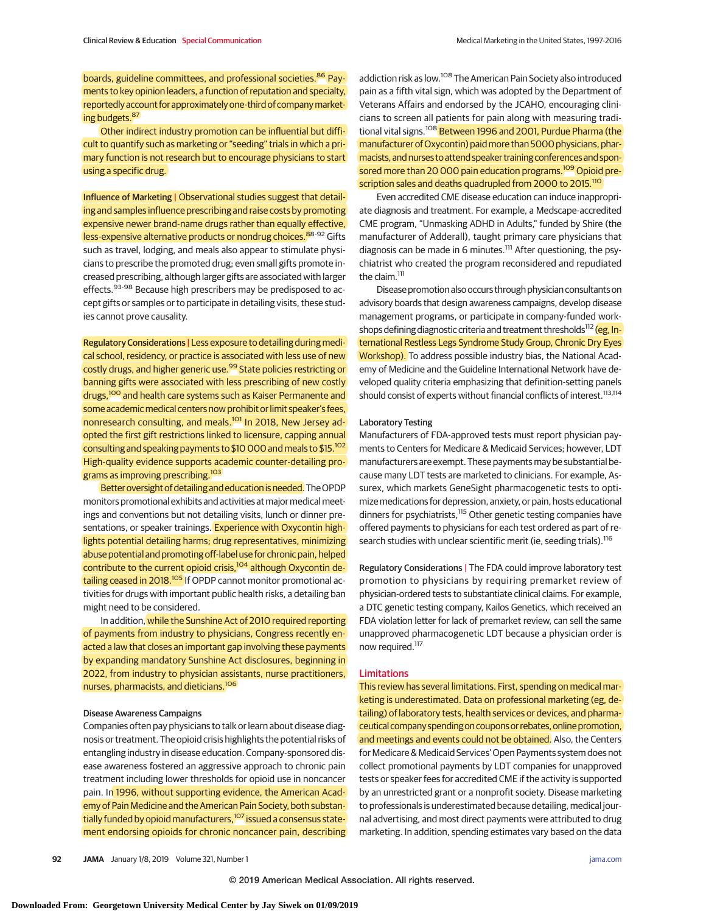boards, guideline committees, and professional societies.<sup>86</sup> Payments to key opinion leaders, a function of reputation and specialty, reportedly account for approximately one-third of companymarketing budgets.<sup>87</sup>

Other indirect industry promotion can be influential but difficult to quantify such as marketing or "seeding" trials in which a primary function is not research but to encourage physicians to start using a specific drug.

Influence of Marketing | Observational studies suggest that detailing and samples influence prescribing and raise costs by promoting expensive newer brand-name drugs rather than equally effective, less-expensive alternative products or nondrug choices.<sup>88-92</sup> Gifts such as travel, lodging, and meals also appear to stimulate physicians to prescribe the promoted drug; even small gifts promote increased prescribing, although larger gifts are associated with larger effects.<sup>93-98</sup> Because high prescribers may be predisposed to accept gifts or samples or to participate in detailing visits, these studies cannot prove causality.

Regulatory Considerations | Less exposure to detailing during medical school, residency, or practice is associated with less use of new costly drugs, and higher generic use.<sup>99</sup> State policies restricting or banning gifts were associated with less prescribing of new costly drugs,<sup>100</sup> and health care systems such as Kaiser Permanente and some academic medical centers now prohibit or limit speaker's fees, nonresearch consulting, and meals.<sup>101</sup> In 2018, New Jersey adopted the first gift restrictions linked to licensure, capping annual consulting and speaking payments to \$10 000 and meals to \$15.<sup>102</sup> High-quality evidence supports academic counter-detailing programs as improving prescribing.<sup>103</sup>

Better oversight of detailing andeducation is needed. TheOPDP monitors promotional exhibits and activities at major medical meetings and conventions but not detailing visits, lunch or dinner presentations, or speaker trainings. Experience with Oxycontin highlights potential detailing harms; drug representatives, minimizing abuse potential and promoting off-label use for chronic pain, helped contribute to the current opioid crisis,  $104$  although Oxycontin detailing ceased in 2018.<sup>105</sup> If OPDP cannot monitor promotional activities for drugs with important public health risks, a detailing ban might need to be considered.

In addition, while the Sunshine Act of 2010 required reporting of payments from industry to physicians, Congress recently enacted a law that closes an important gap involving these payments by expanding mandatory Sunshine Act disclosures, beginning in 2022, from industry to physician assistants, nurse practitioners, nurses, pharmacists, and dieticians.<sup>106</sup>

#### Disease Awareness Campaigns

Companies often pay physicians to talk or learn about disease diagnosis or treatment. The opioid crisis highlights the potential risks of entangling industry in disease education. Company-sponsored disease awareness fostered an aggressive approach to chronic pain treatment including lower thresholds for opioid use in noncancer pain. In 1996, without supporting evidence, the American Academy of Pain Medicine and the American Pain Society, both substantially funded by opioid manufacturers,<sup>107</sup> issued a consensus statement endorsing opioids for chronic noncancer pain, describing

addiction risk as low.<sup>108</sup> The American Pain Society also introduced pain as a fifth vital sign, which was adopted by the Department of Veterans Affairs and endorsed by the JCAHO, encouraging clinicians to screen all patients for pain along with measuring traditional vital signs.<sup>108</sup> Between 1996 and 2001, Purdue Pharma (the manufacturer ofOxycontin) paidmore than 5000 physicians, pharmacists,and nurses toattend speaker training conferencesand sponsored more than 20 000 pain education programs.<sup>109</sup> Opioid prescription sales and deaths quadrupled from 2000 to 2015.<sup>110</sup>

Even accredited CME disease education can induce inappropriate diagnosis and treatment. For example, a Medscape-accredited CME program, "Unmasking ADHD in Adults," funded by Shire (the manufacturer of Adderall), taught primary care physicians that diagnosis can be made in 6 minutes.<sup>111</sup> After questioning, the psychiatrist who created the program reconsidered and repudiated the claim. $<sup>111</sup>$ </sup>

Disease promotion also occurs through physician consultants on advisory boards that design awareness campaigns, develop disease management programs, or participate in company-funded workshops defining diagnostic criteria and treatment thresholds<sup>112</sup> (eg, International Restless Legs Syndrome Study Group, Chronic Dry Eyes Workshop). To address possible industry bias, the National Academy of Medicine and the Guideline International Network have developed quality criteria emphasizing that definition-setting panels should consist of experts without financial conflicts of interest.<sup>113,114</sup>

#### Laboratory Testing

Manufacturers of FDA-approved tests must report physician payments to Centers for Medicare & Medicaid Services; however, LDT manufacturers are exempt. These payments may be substantial because many LDT tests are marketed to clinicians. For example, Assurex, which markets GeneSight pharmacogenetic tests to optimize medications for depression, anxiety, or pain, hosts educational dinners for psychiatrists,<sup>115</sup> Other genetic testing companies have offered payments to physicians for each test ordered as part of research studies with unclear scientific merit (ie, seeding trials).<sup>116</sup>

Regulatory Considerations | The FDA could improve laboratory test promotion to physicians by requiring premarket review of physician-ordered tests to substantiate clinical claims. For example, a DTC genetic testing company, Kailos Genetics, which received an FDA violation letter for lack of premarket review, can sell the same unapproved pharmacogenetic LDT because a physician order is now required.117

# Limitations

This review has several limitations. First, spending on medical marketing is underestimated. Data on professional marketing (eg, detailing) of laboratory tests, health services or devices, and pharmaceutical company spending on coupons or rebates, online promotion, and meetings and events could not be obtained. Also, the Centers for Medicare & Medicaid Services' Open Payments system does not collect promotional payments by LDT companies for unapproved tests or speaker fees for accredited CME if the activity is supported by an unrestricted grant or a nonprofit society. Disease marketing to professionals is underestimated because detailing, medical journal advertising, and most direct payments were attributed to drug marketing. In addition, spending estimates vary based on the data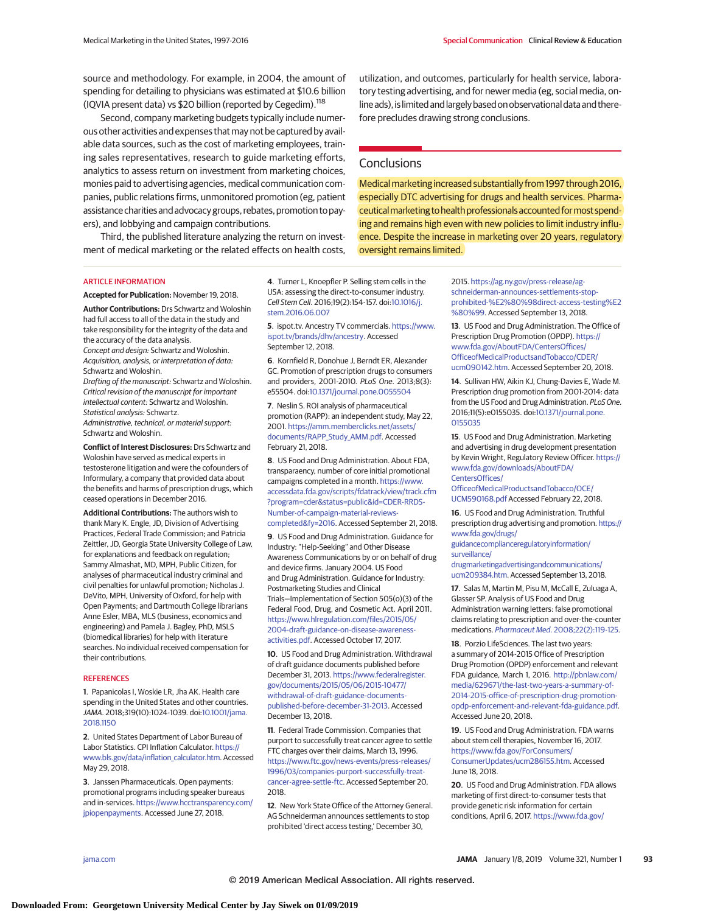source and methodology. For example, in 2004, the amount of spending for detailing to physicians was estimated at \$10.6 billion (IQVIA present data) vs \$20 billion (reported by Cegedim).118

Second, company marketing budgets typically include numerous other activities and expenses that may not be captured by available data sources, such as the cost of marketing employees, training sales representatives, research to guide marketing efforts, analytics to assess return on investment from marketing choices, monies paid to advertising agencies, medical communication companies, public relations firms, unmonitored promotion (eg, patient assistance charities and advocacy groups, rebates, promotion to payers), and lobbying and campaign contributions.

Third, the published literature analyzing the return on investment of medical marketing or the related effects on health costs,

utilization, and outcomes, particularly for health service, laboratory testing advertising, and for newer media (eg, social media, online ads), is limited and largely based on observational data and therefore precludes drawing strong conclusions.

# **Conclusions**

Medical marketing increased substantially from 1997 through 2016, especially DTC advertising for drugs and health services. Pharmaceuticalmarketing to health professionalsaccounted formost spending and remains high even with new policies to limit industry influence. Despite the increase in marketing over 20 years, regulatory oversight remains limited.

#### **ARTICLE INFORMATION**

**Accepted for Publication:** November 19, 2018.

**Author Contributions:** Drs Schwartz and Woloshin had full access to all of the data in the study and take responsibility for the integrity of the data and the accuracy of the data analysis. Concept and design: Schwartz and Woloshin. Acquisition, analysis, or interpretation of data:

Schwartz and Woloshin. Drafting of the manuscript: Schwartz and Woloshin. Critical revision of the manuscript for important intellectual content: Schwartz and Woloshin. Statistical analysis: Schwartz.

Administrative, technical, or material support: Schwartz and Woloshin.

**Conflict of Interest Disclosures:** Drs Schwartz and Woloshin have served as medical experts in testosterone litigation and were the cofounders of Informulary, a company that provided data about the benefits and harms of prescription drugs, which ceased operations in December 2016.

**Additional Contributions:** The authors wish to thank Mary K. Engle, JD, Division of Advertising Practices, Federal Trade Commission; and Patricia Zeittler, JD, Georgia State University College of Law, for explanations and feedback on regulation; Sammy Almashat, MD, MPH, Public Citizen, for analyses of pharmaceutical industry criminal and civil penalties for unlawful promotion; Nicholas J. DeVito, MPH, University of Oxford, for help with Open Payments; and Dartmouth College librarians Anne Esler, MBA, MLS (business, economics and engineering) and Pamela J. Bagley, PhD, MSLS (biomedical libraries) for help with literature searches. No individual received compensation for their contributions.

#### **REFERENCES**

**1**. Papanicolas I, Woskie LR, Jha AK. Health care spending in the United States and other countries. JAMA. 2018;319(10):1024-1039. doi[:10.1001/jama.](https://jama.jamanetwork.com/article.aspx?doi=10.1001/jama.2018.1150&utm_campaign=articlePDF%26utm_medium=articlePDFlink%26utm_source=articlePDF%26utm_content=jama.2018.19320) [2018.1150](https://jama.jamanetwork.com/article.aspx?doi=10.1001/jama.2018.1150&utm_campaign=articlePDF%26utm_medium=articlePDFlink%26utm_source=articlePDF%26utm_content=jama.2018.19320)

**2**. United States Department of Labor Bureau of Labor Statistics. CPI Inflation Calculator. [https://](https://www.bls.gov/data/inflation_calculator.htm) [www.bls.gov/data/inflation\\_calculator.htm.](https://www.bls.gov/data/inflation_calculator.htm) Accessed May 29, 2018.

**3**. Janssen Pharmaceuticals. Open payments: promotional programs including speaker bureaus and in-services. [https://www.hcctransparency.com/](https://www.hcctransparency.com/jpiopenpayments) [jpiopenpayments.](https://www.hcctransparency.com/jpiopenpayments) Accessed June 27, 2018.

**4**. Turner L, Knoepfler P. Selling stem cells in the USA: assessing the direct-to-consumer industry. Cell Stem Cell. 2016;19(2):154-157. doi[:10.1016/j.](https://dx.doi.org/10.1016/j.stem.2016.06.007) [stem.2016.06.007](https://dx.doi.org/10.1016/j.stem.2016.06.007)

**5**. ispot.tv. Ancestry TV commercials. [https://www.](https://www.ispot.tv/brands/dhv/ancestry) [ispot.tv/brands/dhv/ancestry.](https://www.ispot.tv/brands/dhv/ancestry) Accessed September 12, 2018.

**6**. Kornfield R, Donohue J, Berndt ER, Alexander GC. Promotion of prescription drugs to consumers and providers, 2001-2010. PLoS One. 2013;8(3): e55504. doi[:10.1371/journal.pone.0055504](https://dx.doi.org/10.1371/journal.pone.0055504)

**7**. Neslin S. ROI analysis of pharmaceutical promotion (RAPP): an independent study, May 22, 2001. [https://amm.memberclicks.net/assets/](https://amm.memberclicks.net/assets/documents/RAPP_Study_AMM.pdf) [documents/RAPP\\_Study\\_AMM.pdf.](https://amm.memberclicks.net/assets/documents/RAPP_Study_AMM.pdf) Accessed February 21, 2018.

**8**. US Food and Drug Administration. About FDA, transparaency, number of core initial promotional campaigns completed in a month. [https://www.](https://www.accessdata.fda.gov/scripts/fdatrack/view/track.cfm?program=cder&status=public&id=CDER-RRDS-Number-of-campaign-material-reviews-completed&fy=2016) [accessdata.fda.gov/scripts/fdatrack/view/track.cfm](https://www.accessdata.fda.gov/scripts/fdatrack/view/track.cfm?program=cder&status=public&id=CDER-RRDS-Number-of-campaign-material-reviews-completed&fy=2016) [?program=cder&status=public&id=CDER-RRDS-](https://www.accessdata.fda.gov/scripts/fdatrack/view/track.cfm?program=cder&status=public&id=CDER-RRDS-Number-of-campaign-material-reviews-completed&fy=2016)[Number-of-campaign-material-reviews](https://www.accessdata.fda.gov/scripts/fdatrack/view/track.cfm?program=cder&status=public&id=CDER-RRDS-Number-of-campaign-material-reviews-completed&fy=2016)[completed&fy=2016.](https://www.accessdata.fda.gov/scripts/fdatrack/view/track.cfm?program=cder&status=public&id=CDER-RRDS-Number-of-campaign-material-reviews-completed&fy=2016) Accessed September 21, 2018.

**9**. US Food and Drug Administration. Guidance for Industry: "Help-Seeking" and Other Disease Awareness Communications by or on behalf of drug and device firms. January 2004. US Food and Drug Administration. Guidance for Industry: Postmarketing Studies and Clinical Trials—Implementation of Section 505(o)(3) of the Federal Food, Drug, and Cosmetic Act. April 2011. [https://www.hlregulation.com/files/2015/05/](https://www.hlregulation.com/files/2015/05/2004-draft-guidance-on-disease-awareness-activities.pdf) [2004-draft-guidance-on-disease-awareness](https://www.hlregulation.com/files/2015/05/2004-draft-guidance-on-disease-awareness-activities.pdf)[activities.pdf.](https://www.hlregulation.com/files/2015/05/2004-draft-guidance-on-disease-awareness-activities.pdf) Accessed October 17, 2017.

**10**. US Food and Drug Administration. Withdrawal of draft guidance documents published before December 31, 2013. [https://www.federalregister.](https://www.federalregister.gov/documents/2015/05/06/2015-10477/withdrawal-of-draft-guidance-documents-published-before-december-31-2013) [gov/documents/2015/05/06/2015-10477/](https://www.federalregister.gov/documents/2015/05/06/2015-10477/withdrawal-of-draft-guidance-documents-published-before-december-31-2013) [withdrawal-of-draft-guidance-documents](https://www.federalregister.gov/documents/2015/05/06/2015-10477/withdrawal-of-draft-guidance-documents-published-before-december-31-2013)[published-before-december-31-2013.](https://www.federalregister.gov/documents/2015/05/06/2015-10477/withdrawal-of-draft-guidance-documents-published-before-december-31-2013) Accessed December 13, 2018.

**11**. Federal Trade Commission. Companies that purport to successfully treat cancer agree to settle FTC charges over their claims, March 13, 1996. [https://www.ftc.gov/news-events/press-releases/](https://www.ftc.gov/news-events/press-releases/1996/03/companies-purport-successfully-treat-cancer-agree-settle-ftc) [1996/03/companies-purport-successfully-treat](https://www.ftc.gov/news-events/press-releases/1996/03/companies-purport-successfully-treat-cancer-agree-settle-ftc)[cancer-agree-settle-ftc.](https://www.ftc.gov/news-events/press-releases/1996/03/companies-purport-successfully-treat-cancer-agree-settle-ftc) Accessed September 20, 2018.

**12**. New York State Office of the Attorney General. AG Schneiderman announces settlements to stop prohibited 'direct access testing,' December 30,

2015. [https://ag.ny.gov/press-release/ag](https://ag.ny.gov/press-release/ag-schneiderman-announces-settlements-stop-prohibited-%E2%80%98direct-access-testing%E2%80%99)[schneiderman-announces-settlements-stop](https://ag.ny.gov/press-release/ag-schneiderman-announces-settlements-stop-prohibited-%E2%80%98direct-access-testing%E2%80%99)[prohibited-%E2%80%98direct-access-testing%E2](https://ag.ny.gov/press-release/ag-schneiderman-announces-settlements-stop-prohibited-%E2%80%98direct-access-testing%E2%80%99) [%80%99.](https://ag.ny.gov/press-release/ag-schneiderman-announces-settlements-stop-prohibited-%E2%80%98direct-access-testing%E2%80%99) Accessed September 13, 2018.

**13**. US Food and Drug Administration. The Office of Prescription Drug Promotion (OPDP). [https://](https://www.fda.gov/AboutFDA/CentersOffices/OfficeofMedicalProductsandTobacco/CDER/ucm090142.htm) [www.fda.gov/AboutFDA/CentersOffices/](https://www.fda.gov/AboutFDA/CentersOffices/OfficeofMedicalProductsandTobacco/CDER/ucm090142.htm) [OfficeofMedicalProductsandTobacco/CDER/](https://www.fda.gov/AboutFDA/CentersOffices/OfficeofMedicalProductsandTobacco/CDER/ucm090142.htm) [ucm090142.htm.](https://www.fda.gov/AboutFDA/CentersOffices/OfficeofMedicalProductsandTobacco/CDER/ucm090142.htm) Accessed September 20, 2018.

**14**. Sullivan HW, Aikin KJ, Chung-Davies E, Wade M. Prescription drug promotion from 2001-2014: data from the US Food and Drug Administration. PLoS One. 2016;11(5):e0155035. doi[:10.1371/journal.pone.](https://dx.doi.org/10.1371/journal.pone.0155035) [0155035](https://dx.doi.org/10.1371/journal.pone.0155035)

**15**. US Food and Drug Administration. Marketing and advertising in drug development presentation by Kevin Wright, Regulatory Review Officer. [https://](https://www.fda.gov/downloads/AboutFDA/CentersOffices/OfficeofMedicalProductsandTobacco/OCE/UCM590168.pdf) [www.fda.gov/downloads/AboutFDA/](https://www.fda.gov/downloads/AboutFDA/CentersOffices/OfficeofMedicalProductsandTobacco/OCE/UCM590168.pdf) [CentersOffices/](https://www.fda.gov/downloads/AboutFDA/CentersOffices/OfficeofMedicalProductsandTobacco/OCE/UCM590168.pdf)

[OfficeofMedicalProductsandTobacco/OCE/](https://www.fda.gov/downloads/AboutFDA/CentersOffices/OfficeofMedicalProductsandTobacco/OCE/UCM590168.pdf) [UCM590168.pdf](https://www.fda.gov/downloads/AboutFDA/CentersOffices/OfficeofMedicalProductsandTobacco/OCE/UCM590168.pdf) Accessed February 22, 2018.

**16**. US Food and Drug Administration. Truthful prescription drug advertising and promotion. [https://](https://www.fda.gov/drugs/guidancecomplianceregulatoryinformation/surveillance/drugmarketingadvertisingandcommunications/ucm209384.htm) [www.fda.gov/drugs/](https://www.fda.gov/drugs/guidancecomplianceregulatoryinformation/surveillance/drugmarketingadvertisingandcommunications/ucm209384.htm)

[guidancecomplianceregulatoryinformation/](https://www.fda.gov/drugs/guidancecomplianceregulatoryinformation/surveillance/drugmarketingadvertisingandcommunications/ucm209384.htm) [surveillance/](https://www.fda.gov/drugs/guidancecomplianceregulatoryinformation/surveillance/drugmarketingadvertisingandcommunications/ucm209384.htm)

[drugmarketingadvertisingandcommunications/](https://www.fda.gov/drugs/guidancecomplianceregulatoryinformation/surveillance/drugmarketingadvertisingandcommunications/ucm209384.htm) [ucm209384.htm.](https://www.fda.gov/drugs/guidancecomplianceregulatoryinformation/surveillance/drugmarketingadvertisingandcommunications/ucm209384.htm) Accessed September 13, 2018.

**17**. Salas M, Martin M, Pisu M, McCall E, Zuluaga A, Glasser SP. Analysis of US Food and Drug Administration warning letters: false promotional claims relating to prescription and over-the-counter medications. Pharmaceut Med[. 2008;22\(2\):119-125.](https://www.ncbi.nlm.nih.gov/pubmed/24353430)

**18**. Porzio LifeSciences. The last two years: a summary of 2014-2015 Office of Prescription Drug Promotion (OPDP) enforcement and relevant FDA guidance, March 1, 2016. [http://pbnlaw.com/](http://pbnlaw.com/media/629671/the-last-two-years-a-summary-of-2014-2015-office-of-prescription-drug-promotion-opdp-enforcement-and-relevant-fda-guidance.pdf) [media/629671/the-last-two-years-a-summary-of-](http://pbnlaw.com/media/629671/the-last-two-years-a-summary-of-2014-2015-office-of-prescription-drug-promotion-opdp-enforcement-and-relevant-fda-guidance.pdf)[2014-2015-office-of-prescription-drug-promotion](http://pbnlaw.com/media/629671/the-last-two-years-a-summary-of-2014-2015-office-of-prescription-drug-promotion-opdp-enforcement-and-relevant-fda-guidance.pdf)[opdp-enforcement-and-relevant-fda-guidance.pdf.](http://pbnlaw.com/media/629671/the-last-two-years-a-summary-of-2014-2015-office-of-prescription-drug-promotion-opdp-enforcement-and-relevant-fda-guidance.pdf) Accessed June 20, 2018.

**19**. US Food and Drug Administration. FDA warns about stem cell therapies, November 16, 2017. [https://www.fda.gov/ForConsumers/](https://www.fda.gov/ForConsumers/ConsumerUpdates/ucm286155.htm) [ConsumerUpdates/ucm286155.htm.](https://www.fda.gov/ForConsumers/ConsumerUpdates/ucm286155.htm) Accessed June 18, 2018.

**20**. US Food and Drug Administration. FDA allows marketing of first direct-to-consumer tests that provide genetic risk information for certain conditions, April 6, 2017. [https://www.fda.gov/](https://www.fda.gov/NewsEvents/Newsroom/PressAnnouncements/ucm551185.htm)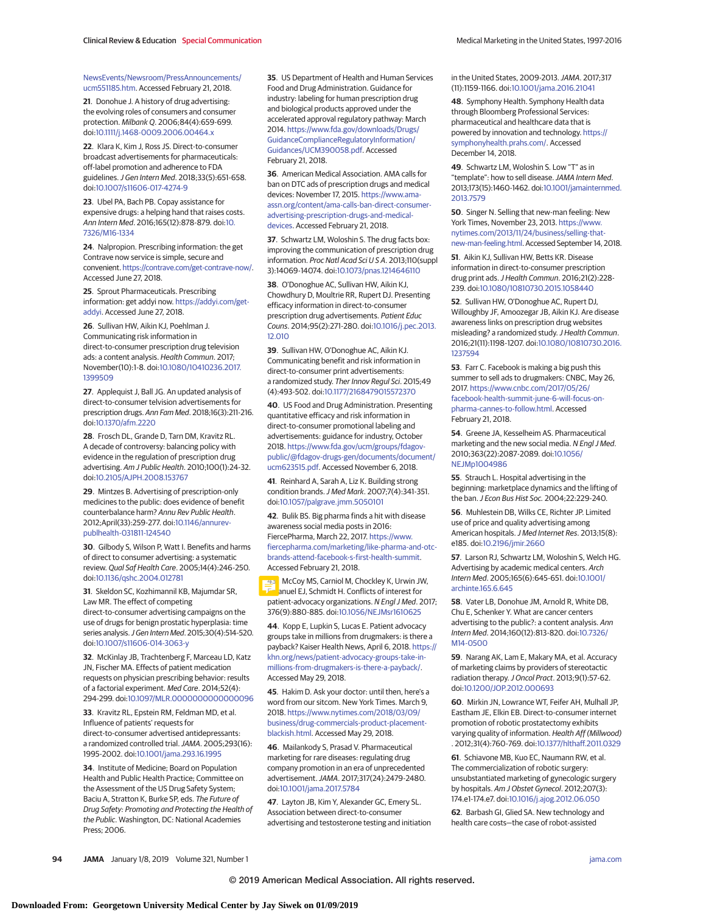**21**. Donohue J. A history of drug advertising: the evolving roles of consumers and consumer protection. Milbank Q. 2006;84(4):659-699. doi[:10.1111/j.1468-0009.2006.00464.x](https://dx.doi.org/10.1111/j.1468-0009.2006.00464.x)

**22**. Klara K, Kim J, Ross JS. Direct-to-consumer broadcast advertisements for pharmaceuticals: off-label promotion and adherence to FDA guidelines.J Gen Intern Med. 2018;33(5):651-658. doi[:10.1007/s11606-017-4274-9](https://dx.doi.org/10.1007/s11606-017-4274-9)

**23**. Ubel PA, Bach PB. Copay assistance for expensive drugs: a helping hand that raises costs. Ann Intern Med. 2016;165(12):878-879. doi[:10.](https://dx.doi.org/10.7326/M16-1334) [7326/M16-1334](https://dx.doi.org/10.7326/M16-1334)

**24**. Nalpropion. Prescribing information: the get Contrave now service is simple, secure and convenient. [https://contrave.com/get-contrave-now/.](https://contrave.com/get-contrave-now/) Accessed June 27, 2018.

**25**. Sprout Pharmaceuticals. Prescribing information: get addyi now. [https://addyi.com/get](https://addyi.com/get-addyi)[addyi.](https://addyi.com/get-addyi) Accessed June 27, 2018.

**26**. Sullivan HW, Aikin KJ, Poehlman J. Communicating risk information in direct-to-consumer prescription drug television ads: a content analysis. Health Commun. 2017; November(10):1-8. doi[:10.1080/10410236.2017.](https://dx.doi.org/10.1080/10410236.2017.1399509) [1399509](https://dx.doi.org/10.1080/10410236.2017.1399509)

**27**. Applequist J, Ball JG. An updated analysis of direct-to-consumer telvision advertisements for prescription drugs. Ann Fam Med. 2018;16(3):211-216. doi[:10.1370/afm.2220](https://dx.doi.org/10.1370/afm.2220)

**28**. Frosch DL, Grande D, Tarn DM, Kravitz RL. A decade of controversy: balancing policy with evidence in the regulation of prescription drug advertising. Am J Public Health. 2010;100(1):24-32. doi[:10.2105/AJPH.2008.153767](https://dx.doi.org/10.2105/AJPH.2008.153767)

**29**. Mintzes B. Advertising of prescription-only medicines to the public: does evidence of benefit counterbalance harm? Annu Rev Public Health. 2012;April(33):259-277. doi[:10.1146/annurev](https://dx.doi.org/10.1146/annurev-publhealth-031811-124540)[publhealth-031811-124540](https://dx.doi.org/10.1146/annurev-publhealth-031811-124540)

**30**. Gilbody S, Wilson P, Watt I. Benefits and harms of direct to consumer advertising: a systematic review. Qual Saf Health Care. 2005;14(4):246-250. doi[:10.1136/qshc.2004.012781](https://dx.doi.org/10.1136/qshc.2004.012781)

**31**. Skeldon SC, Kozhimannil KB, Majumdar SR, Law MR. The effect of competing direct-to-consumer advertising campaigns on the use of drugs for benign prostatic hyperplasia: time series analysis. J Gen Intern Med. 2015;30(4):514-520. doi[:10.1007/s11606-014-3063-y](https://dx.doi.org/10.1007/s11606-014-3063-y)

**32**. McKinlay JB, Trachtenberg F, Marceau LD, Katz JN, Fischer MA. Effects of patient medication requests on physician prescribing behavior: results of a factorial experiment. Med Care. 2014;52(4): 294-299. doi[:10.1097/MLR.0000000000000096](https://dx.doi.org/10.1097/MLR.0000000000000096)

**33**. Kravitz RL, Epstein RM, Feldman MD, et al. Influence of patients' requests for direct-to-consumer advertised antidepressants: a randomized controlled trial.JAMA. 2005;293(16): 1995-2002. doi[:10.1001/jama.293.16.1995](https://jama.jamanetwork.com/article.aspx?doi=10.1001/jama.293.16.1995&utm_campaign=articlePDF%26utm_medium=articlePDFlink%26utm_source=articlePDF%26utm_content=jama.2018.19320)

**34**. Institute of Medicine; Board on Population Health and Public Health Practice; Committee on the Assessment of the US Drug Safety System; Baciu A, Stratton K, Burke SP, eds. The Future of Drug Safety: Promoting and Protecting the Health of the Public. Washington, DC: National Academies Press; 2006.

**35**. US Department of Health and Human Services Food and Drug Administration. Guidance for industry: labeling for human prescription drug and biological products approved under the accelerated approval regulatory pathway: March 2014. [https://www.fda.gov/downloads/Drugs/](https://www.fda.gov/downloads/Drugs/GuidanceComplianceRegulatoryInformation/Guidances/UCM390058.pdf) [GuidanceComplianceRegulatoryInformation/](https://www.fda.gov/downloads/Drugs/GuidanceComplianceRegulatoryInformation/Guidances/UCM390058.pdf) [Guidances/UCM390058.pdf.](https://www.fda.gov/downloads/Drugs/GuidanceComplianceRegulatoryInformation/Guidances/UCM390058.pdf) Accessed February 21, 2018.

**36**. American Medical Association. AMA calls for ban on DTC ads of prescription drugs and medical devices: November 17, 2015. [https://www.ama](https://www.ama-assn.org/content/ama-calls-ban-direct-consumer-advertising-prescription-drugs-and-medical-devices)[assn.org/content/ama-calls-ban-direct-consumer](https://www.ama-assn.org/content/ama-calls-ban-direct-consumer-advertising-prescription-drugs-and-medical-devices)[advertising-prescription-drugs-and-medical](https://www.ama-assn.org/content/ama-calls-ban-direct-consumer-advertising-prescription-drugs-and-medical-devices)[devices.](https://www.ama-assn.org/content/ama-calls-ban-direct-consumer-advertising-prescription-drugs-and-medical-devices) Accessed February 21, 2018.

**37**. Schwartz LM, Woloshin S. The drug facts box: improving the communication of prescription drug information. Proc Natl Acad Sci USA. 2013;110(suppl 3):14069-14074. doi[:10.1073/pnas.1214646110](https://dx.doi.org/10.1073/pnas.1214646110)

**38**. O'Donoghue AC, Sullivan HW, Aikin KJ, Chowdhury D, Moultrie RR, Rupert DJ. Presenting efficacy information in direct-to-consumer prescription drug advertisements. Patient Educ Couns. 2014;95(2):271-280. doi[:10.1016/j.pec.2013.](https://dx.doi.org/10.1016/j.pec.2013.12.010) [12.010](https://dx.doi.org/10.1016/j.pec.2013.12.010)

**39**. Sullivan HW, O'Donoghue AC, Aikin KJ. Communicating benefit and risk information in direct-to-consumer print advertisements: a randomized study. Ther Innov Regul Sci. 2015;49 (4):493-502. doi[:10.1177/2168479015572370](https://dx.doi.org/10.1177/2168479015572370)

**40**. US Food and Drug Administration. Presenting quantitative efficacy and risk information in direct-to-consumer promotional labeling and advertisements: guidance for industry, October 2018. [https://www.fda.gov/ucm/groups/fdagov](https://www.fda.gov/ucm/groups/fdagov-public/@fdagov-drugs-gen/documents/document/ucm623515.pdf)[public/@fdagov-drugs-gen/documents/document/](https://www.fda.gov/ucm/groups/fdagov-public/@fdagov-drugs-gen/documents/document/ucm623515.pdf) [ucm623515.pdf.](https://www.fda.gov/ucm/groups/fdagov-public/@fdagov-drugs-gen/documents/document/ucm623515.pdf) Accessed November 6, 2018.

**41**. Reinhard A, Sarah A, Liz K. Building strong condition brands.J Med Mark. 2007;7(4):341-351. doi[:10.1057/palgrave.jmm.5050101](https://dx.doi.org/10.1057/palgrave.jmm.5050101)

**42**. Bulik BS. Big pharma finds a hit with disease awareness social media posts in 2016: FiercePharma, March 22, 2017. [https://www.](https://www.fiercepharma.com/marketing/like-pharma-and-otc-brands-attend-facebook-s-first-health-summit) [fiercepharma.com/marketing/like-pharma-and-otc](https://www.fiercepharma.com/marketing/like-pharma-and-otc-brands-attend-facebook-s-first-health-summit)[brands-attend-facebook-s-first-health-summit.](https://www.fiercepharma.com/marketing/like-pharma-and-otc-brands-attend-facebook-s-first-health-summit) Accessed February 21, 2018.

**43**. McCoy MS, Carniol M, Chockley K, Urwin JW, anuel EJ, Schmidt H. Conflicts of interest for patient-advocacy organizations. N Engl J Med. 2017; 376(9):880-885. doi[:10.1056/NEJMsr1610625](https://dx.doi.org/10.1056/NEJMsr1610625)

**44**. Kopp E, Lupkin S, Lucas E. Patient advocacy groups take in millions from drugmakers: is there a payback? Kaiser Health News, April 6, 2018. [https://](https://khn.org/news/patient-advocacy-groups-take-in-millions-from-drugmakers-is-there-a-payback/) [khn.org/news/patient-advocacy-groups-take-in](https://khn.org/news/patient-advocacy-groups-take-in-millions-from-drugmakers-is-there-a-payback/)[millions-from-drugmakers-is-there-a-payback/.](https://khn.org/news/patient-advocacy-groups-take-in-millions-from-drugmakers-is-there-a-payback/) Accessed May 29, 2018.

**45**. Hakim D. Ask your doctor: until then, here's a word from our sitcom. New York Times. March 9, 2018. [https://www.nytimes.com/2018/03/09/](https://www.nytimes.com/2018/03/09/business/drug-commercials-product-placement-blackish.html) [business/drug-commercials-product-placement](https://www.nytimes.com/2018/03/09/business/drug-commercials-product-placement-blackish.html)[blackish.html.](https://www.nytimes.com/2018/03/09/business/drug-commercials-product-placement-blackish.html) Accessed May 29, 2018.

**46**. Mailankody S, Prasad V. Pharmaceutical marketing for rare diseases: regulating drug company promotion in an era of unprecedented advertisement.JAMA. 2017;317(24):2479-2480. doi[:10.1001/jama.2017.5784](https://jama.jamanetwork.com/article.aspx?doi=10.1001/jama.2017.5784&utm_campaign=articlePDF%26utm_medium=articlePDFlink%26utm_source=articlePDF%26utm_content=jama.2018.19320)

**47**. Layton JB, Kim Y, Alexander GC, Emery SL. Association between direct-to-consumer advertising and testosterone testing and initiation

in the United States, 2009-2013. JAMA. 2017;317 (11):1159-1166. doi[:10.1001/jama.2016.21041](https://jama.jamanetwork.com/article.aspx?doi=10.1001/jama.2016.21041&utm_campaign=articlePDF%26utm_medium=articlePDFlink%26utm_source=articlePDF%26utm_content=jama.2018.19320)

**48**. Symphony Health. Symphony Health data through Bloomberg Professional Services: pharmaceutical and healthcare data that is powered by innovation and technology. [https://](https://symphonyhealth.prahs.com/) [symphonyhealth.prahs.com/.](https://symphonyhealth.prahs.com/) Accessed December 14, 2018.

**49**. Schwartz LM, Woloshin S. Low "T" as in "template": how to sell disease. JAMA Intern Med. 2013;173(15):1460-1462. doi[:10.1001/jamainternmed.](https://jama.jamanetwork.com/article.aspx?doi=10.1001/jamainternmed.2013.7579&utm_campaign=articlePDF%26utm_medium=articlePDFlink%26utm_source=articlePDF%26utm_content=jama.2018.19320) [2013.7579](https://jama.jamanetwork.com/article.aspx?doi=10.1001/jamainternmed.2013.7579&utm_campaign=articlePDF%26utm_medium=articlePDFlink%26utm_source=articlePDF%26utm_content=jama.2018.19320)

**50**. Singer N. Selling that new-man feeling: New York Times, November 23, 2013. [https://www.](https://www.nytimes.com/2013/11/24/business/selling-that-new-man-feeling.html) [nytimes.com/2013/11/24/business/selling-that](https://www.nytimes.com/2013/11/24/business/selling-that-new-man-feeling.html)[new-man-feeling.html.](https://www.nytimes.com/2013/11/24/business/selling-that-new-man-feeling.html) Accessed September 14, 2018.

**51**. Aikin KJ, Sullivan HW, Betts KR. Disease information in direct-to-consumer prescription drug print ads.J Health Commun. 2016;21(2):228- 239. doi[:10.1080/10810730.2015.1058440](https://dx.doi.org/10.1080/10810730.2015.1058440)

**52**. Sullivan HW, O'Donoghue AC, Rupert DJ, Willoughby JF, Amoozegar JB, Aikin KJ. Are disease awareness links on prescription drug websites misleading? a randomized study.J Health Commun. 2016;21(11):1198-1207. doi[:10.1080/10810730.2016.](https://dx.doi.org/10.1080/10810730.2016.1237594) [1237594](https://dx.doi.org/10.1080/10810730.2016.1237594)

**53**. Farr C. Facebook is making a big push this summer to sell ads to drugmakers: CNBC, May 26, 2017. [https://www.cnbc.com/2017/05/26/](https://www.cnbc.com/2017/05/26/facebook-health-summit-june-6-will-focus-on-pharma-cannes-to-follow.html) [facebook-health-summit-june-6-will-focus-on](https://www.cnbc.com/2017/05/26/facebook-health-summit-june-6-will-focus-on-pharma-cannes-to-follow.html)[pharma-cannes-to-follow.html.](https://www.cnbc.com/2017/05/26/facebook-health-summit-june-6-will-focus-on-pharma-cannes-to-follow.html) Accessed February 21, 2018.

**54**. Greene JA, Kesselheim AS. Pharmaceutical marketing and the new social media. N Engl J Med. 2010;363(22):2087-2089. doi[:10.1056/](https://dx.doi.org/10.1056/NEJMp1004986) [NEJMp1004986](https://dx.doi.org/10.1056/NEJMp1004986)

**55**. Strauch L. Hospital advertising in the beginning: marketplace dynamics and the lifting of the ban.J Econ Bus Hist Soc. 2004;22:229-240.

**56**. Muhlestein DB, Wilks CE, Richter JP. Limited use of price and quality advertising among American hospitals.J Med Internet Res. 2013;15(8): e185. doi[:10.2196/jmir.2660](https://dx.doi.org/10.2196/jmir.2660)

**57**. Larson RJ, Schwartz LM, Woloshin S, Welch HG. Advertising by academic medical centers. Arch Intern Med. 2005;165(6):645-651. doi[:10.1001/](https://jama.jamanetwork.com/article.aspx?doi=10.1001/archinte.165.6.645&utm_campaign=articlePDF%26utm_medium=articlePDFlink%26utm_source=articlePDF%26utm_content=jama.2018.19320) [archinte.165.6.645](https://jama.jamanetwork.com/article.aspx?doi=10.1001/archinte.165.6.645&utm_campaign=articlePDF%26utm_medium=articlePDFlink%26utm_source=articlePDF%26utm_content=jama.2018.19320)

**58**. Vater LB, Donohue JM, Arnold R, White DB, Chu E, Schenker Y. What are cancer centers advertising to the public?: a content analysis. Ann Intern Med. 2014;160(12):813-820. doi[:10.7326/](https://dx.doi.org/10.7326/M14-0500) [M14-0500](https://dx.doi.org/10.7326/M14-0500)

**59**. Narang AK, Lam E, Makary MA, et al. Accuracy of marketing claims by providers of stereotactic radiation therapy.J Oncol Pract. 2013;9(1):57-62. doi[:10.1200/JOP.2012.000693](https://dx.doi.org/10.1200/JOP.2012.000693)

**60**. Mirkin JN, Lowrance WT, Feifer AH, Mulhall JP, Eastham JE, Elkin EB. Direct-to-consumer internet promotion of robotic prostatectomy exhibits varying quality of information. Health Aff (Millwood) . 2012;31(4):760-769. doi[:10.1377/hlthaff.2011.0329](https://dx.doi.org/10.1377/hlthaff.2011.0329)

**61**. Schiavone MB, Kuo EC, Naumann RW, et al. The commercialization of robotic surgery: unsubstantiated marketing of gynecologic surgery by hospitals. Am J Obstet Gynecol. 2012;207(3): 174.e1-174.e7. doi[:10.1016/j.ajog.2012.06.050](https://dx.doi.org/10.1016/j.ajog.2012.06.050)

**62**. Barbash GI, Glied SA. New technology and health care costs—the case of robot-assisted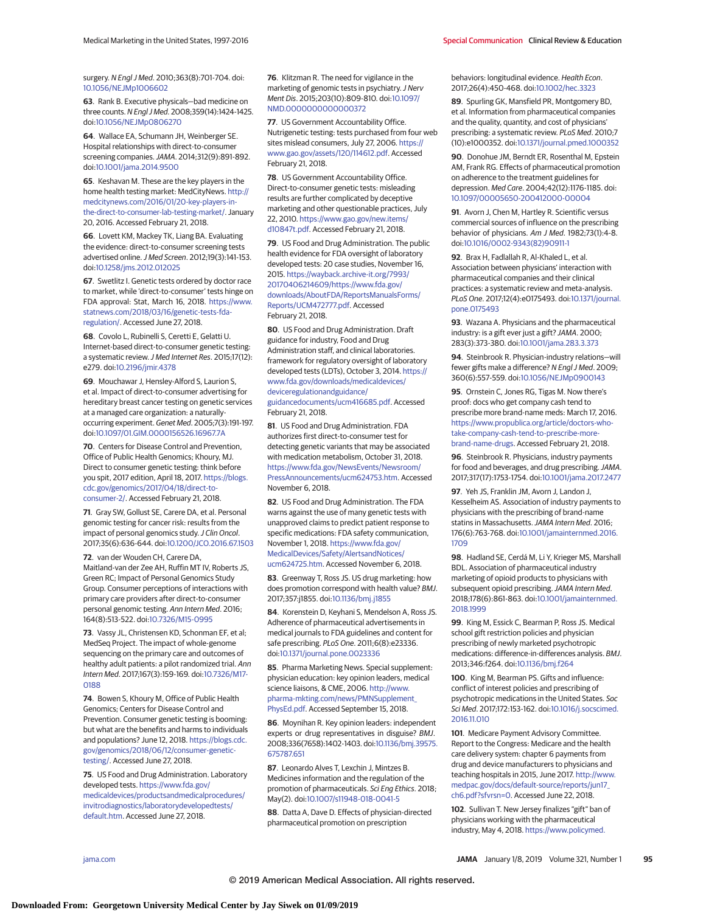#### surgery. N Engl J Med. 2010;363(8):701-704. doi: [10.1056/NEJMp1006602](https://dx.doi.org/10.1056/NEJMp1006602)

**63**. Rank B. Executive physicals—bad medicine on three counts. N Engl J Med. 2008;359(14):1424-1425. doi[:10.1056/NEJMp0806270](https://dx.doi.org/10.1056/NEJMp0806270)

**64**. Wallace EA, Schumann JH, Weinberger SE. Hospital relationships with direct-to-consumer screening companies.JAMA. 2014;312(9):891-892. doi[:10.1001/jama.2014.9500](https://jama.jamanetwork.com/article.aspx?doi=10.1001/jama.2014.9500&utm_campaign=articlePDF%26utm_medium=articlePDFlink%26utm_source=articlePDF%26utm_content=jama.2018.19320)

**65**. Keshavan M. These are the key players in the home health testing market: MedCityNews. [http://](http://medcitynews.com/2016/01/20-key-players-in-the-direct-to-consumer-lab-testing-market/) [medcitynews.com/2016/01/20-key-players-in](http://medcitynews.com/2016/01/20-key-players-in-the-direct-to-consumer-lab-testing-market/)[the-direct-to-consumer-lab-testing-market/.](http://medcitynews.com/2016/01/20-key-players-in-the-direct-to-consumer-lab-testing-market/) January 20, 2016. Accessed February 21, 2018.

**66**. Lovett KM, Mackey TK, Liang BA. Evaluating the evidence: direct-to-consumer screening tests advertised online.J Med Screen. 2012;19(3):141-153. doi[:10.1258/jms.2012.012025](https://dx.doi.org/10.1258/jms.2012.012025)

**67**. Swetlitz I. Genetic tests ordered by doctor race to market, while 'direct-to-consumer' tests hinge on FDA approval: Stat, March 16, 2018. [https://www.](https://www.statnews.com/2018/03/16/genetic-tests-fda-regulation/) [statnews.com/2018/03/16/genetic-tests-fda](https://www.statnews.com/2018/03/16/genetic-tests-fda-regulation/)[regulation/.](https://www.statnews.com/2018/03/16/genetic-tests-fda-regulation/) Accessed June 27, 2018.

**68**. Covolo L, Rubinelli S, Ceretti E, Gelatti U. Internet-based direct-to-consumer genetic testing: a systematic review.J Med Internet Res. 2015;17(12): e279. doi[:10.2196/jmir.4378](https://dx.doi.org/10.2196/jmir.4378)

**69**. Mouchawar J, Hensley-Alford S, Laurion S, et al. Impact of direct-to-consumer advertising for hereditary breast cancer testing on genetic services at a managed care organization: a naturallyoccurring experiment. Genet Med. 2005;7(3):191-197. doi[:10.1097/01.GIM.0000156526.16967.7A](https://dx.doi.org/10.1097/01.GIM.0000156526.16967.7A)

**70**. Centers for Disease Control and Prevention, Office of Public Health Genomics; Khoury, MJ. Direct to consumer genetic testing: think before you spit, 2017 edition, April 18, 2017. [https://blogs.](https://blogs.cdc.gov/genomics/2017/04/18/direct-to-consumer-2/) [cdc.gov/genomics/2017/04/18/direct-to](https://blogs.cdc.gov/genomics/2017/04/18/direct-to-consumer-2/)[consumer-2/.](https://blogs.cdc.gov/genomics/2017/04/18/direct-to-consumer-2/) Accessed February 21, 2018.

**71**. Gray SW, Gollust SE, Carere DA, et al. Personal genomic testing for cancer risk: results from the impact of personal genomics study. J Clin Oncol. 2017;35(6):636-644. doi[:10.1200/JCO.2016.67.1503](https://dx.doi.org/10.1200/JCO.2016.67.1503)

**72**. van der Wouden CH, Carere DA, Maitland-van der Zee AH, Ruffin MT IV, Roberts JS, Green RC; Impact of Personal Genomics Study Group. Consumer perceptions of interactions with primary care providers after direct-to-consumer personal genomic testing. Ann Intern Med. 2016; 164(8):513-522. doi[:10.7326/M15-0995](https://dx.doi.org/10.7326/M15-0995)

**73**. Vassy JL, Christensen KD, Schonman EF, et al; MedSeq Project. The impact of whole-genome sequencing on the primary care and outcomes of healthy adult patients: a pilot randomized trial. Ann Intern Med. 2017;167(3):159-169. doi[:10.7326/M17-](https://dx.doi.org/10.7326/M17-0188) [0188](https://dx.doi.org/10.7326/M17-0188)

**74**. Bowen S, Khoury M, Office of Public Health Genomics; Centers for Disease Control and Prevention. Consumer genetic testing is booming: but what are the benefits and harms to individuals and populations? June 12, 2018. [https://blogs.cdc.](https://blogs.cdc.gov/genomics/2018/06/12/consumer-genetic-testing/) [gov/genomics/2018/06/12/consumer-genetic](https://blogs.cdc.gov/genomics/2018/06/12/consumer-genetic-testing/)[testing/.](https://blogs.cdc.gov/genomics/2018/06/12/consumer-genetic-testing/) Accessed June 27, 2018.

**75**. US Food and Drug Administration. Laboratory developed tests. [https://www.fda.gov/](https://www.fda.gov/medicaldevices/productsandmedicalprocedures/invitrodiagnostics/laboratorydevelopedtests/default.htm) [medicaldevices/productsandmedicalprocedures/](https://www.fda.gov/medicaldevices/productsandmedicalprocedures/invitrodiagnostics/laboratorydevelopedtests/default.htm) [invitrodiagnostics/laboratorydevelopedtests/](https://www.fda.gov/medicaldevices/productsandmedicalprocedures/invitrodiagnostics/laboratorydevelopedtests/default.htm) [default.htm.](https://www.fda.gov/medicaldevices/productsandmedicalprocedures/invitrodiagnostics/laboratorydevelopedtests/default.htm) Accessed June 27, 2018.

**76**. Klitzman R. The need for vigilance in the marketing of genomic tests in psychiatry. J Nerv Ment Dis. 2015;203(10):809-810. doi[:10.1097/](https://dx.doi.org/10.1097/NMD.0000000000000372) [NMD.0000000000000372](https://dx.doi.org/10.1097/NMD.0000000000000372)

**77**. US Government Accountability Office. Nutrigenetic testing: tests purchased from four web sites mislead consumers, July 27, 2006. [https://](https://www.gao.gov/assets/120/114612.pdf) [www.gao.gov/assets/120/114612.pdf.](https://www.gao.gov/assets/120/114612.pdf) Accessed February 21, 2018.

**78**. US Government Accountability Office. Direct-to-consumer genetic tests: misleading results are further complicated by deceptive marketing and other questionable practices, July 22, 2010. [https://www.gao.gov/new.items/](https://www.gao.gov/new.items/d10847t.pdf) [d10847t.pdf.](https://www.gao.gov/new.items/d10847t.pdf) Accessed February 21, 2018.

**79**. US Food and Drug Administration. The public health evidence for FDA oversight of laboratory developed tests: 20 case studies, November 16, 2015. [https://wayback.archive-it.org/7993/](https://wayback.archive-it.org/7993/20170406214609/https://www.fda.gov/downloads/AboutFDA/ReportsManualsForms/Reports/UCM472777.pdf) [20170406214609/https://www.fda.gov/](https://wayback.archive-it.org/7993/20170406214609/https://www.fda.gov/downloads/AboutFDA/ReportsManualsForms/Reports/UCM472777.pdf) [downloads/AboutFDA/ReportsManualsForms/](https://wayback.archive-it.org/7993/20170406214609/https://www.fda.gov/downloads/AboutFDA/ReportsManualsForms/Reports/UCM472777.pdf) [Reports/UCM472777.pdf.](https://wayback.archive-it.org/7993/20170406214609/https://www.fda.gov/downloads/AboutFDA/ReportsManualsForms/Reports/UCM472777.pdf) Accessed February 21, 2018.

**80**. US Food and Drug Administration. Draft guidance for industry, Food and Drug Administration staff, and clinical laboratories. framework for regulatory oversight of laboratory developed tests (LDTs), October 3, 2014. [https://](https://www.fda.gov/downloads/medicaldevices/deviceregulationandguidance/guidancedocuments/ucm416685.pdf) [www.fda.gov/downloads/medicaldevices/](https://www.fda.gov/downloads/medicaldevices/deviceregulationandguidance/guidancedocuments/ucm416685.pdf) [deviceregulationandguidance/](https://www.fda.gov/downloads/medicaldevices/deviceregulationandguidance/guidancedocuments/ucm416685.pdf)

[guidancedocuments/ucm416685.pdf.](https://www.fda.gov/downloads/medicaldevices/deviceregulationandguidance/guidancedocuments/ucm416685.pdf) Accessed February 21, 2018.

**81**. US Food and Drug Administration. FDA authorizes first direct-to-consumer test for detecting genetic variants that may be associated with medication metabolism, October 31, 2018. [https://www.fda.gov/NewsEvents/Newsroom/](https://www.fda.gov/NewsEvents/Newsroom/PressAnnouncements/ucm624753.htm) [PressAnnouncements/ucm624753.htm.](https://www.fda.gov/NewsEvents/Newsroom/PressAnnouncements/ucm624753.htm) Accessed November 6, 2018.

**82**. US Food and Drug Administration. The FDA warns against the use of many genetic tests with unapproved claims to predict patient response to specific medications: FDA safety communication, November 1, 2018. [https://www.fda.gov/](https://www.fda.gov/MedicalDevices/Safety/AlertsandNotices/ucm624725.htm) [MedicalDevices/Safety/AlertsandNotices/](https://www.fda.gov/MedicalDevices/Safety/AlertsandNotices/ucm624725.htm) [ucm624725.htm.](https://www.fda.gov/MedicalDevices/Safety/AlertsandNotices/ucm624725.htm) Accessed November 6, 2018.

**83**. Greenway T, Ross JS. US drug marketing: how does promotion correspond with health value? BMJ. 2017;357:j1855. doi[:10.1136/bmj.j1855](https://dx.doi.org/10.1136/bmj.j1855)

**84**. Korenstein D, Keyhani S, Mendelson A, Ross JS. Adherence of pharmaceutical advertisements in medical journals to FDA guidelines and content for safe prescribing. PLoS One. 2011;6(8):e23336. doi[:10.1371/journal.pone.0023336](https://dx.doi.org/10.1371/journal.pone.0023336)

**85**. Pharma Marketing News. Special supplement: physician education: key opinion leaders, medical science liaisons, & CME, 2006. [http://www.](http://www.pharma-mkting.com/news/PMNSupplement_PhysEd.pdf) [pharma-mkting.com/news/PMNSupplement\\_](http://www.pharma-mkting.com/news/PMNSupplement_PhysEd.pdf) [PhysEd.pdf.](http://www.pharma-mkting.com/news/PMNSupplement_PhysEd.pdf) Accessed September 15, 2018.

**86**. Moynihan R. Key opinion leaders: independent experts or drug representatives in disguise? BMJ. 2008;336(7658):1402-1403. doi[:10.1136/bmj.39575.](https://dx.doi.org/10.1136/bmj.39575.675787.651) [675787.651](https://dx.doi.org/10.1136/bmj.39575.675787.651)

**87**. Leonardo Alves T, Lexchin J, Mintzes B. Medicines information and the regulation of the promotion of pharmaceuticals. Sci Eng Ethics. 2018; May(2). doi[:10.1007/s11948-018-0041-5](https://dx.doi.org/10.1007/s11948-018-0041-5)

**88**. Datta A, Dave D. Effects of physician-directed pharmaceutical promotion on prescription

behaviors: longitudinal evidence. Health Econ. 2017;26(4):450-468. doi[:10.1002/hec.3323](https://dx.doi.org/10.1002/hec.3323)

**89**. Spurling GK, Mansfield PR, Montgomery BD, et al. Information from pharmaceutical companies and the quality, quantity, and cost of physicians' prescribing: a systematic review. PLoS Med. 2010;7 (10):e1000352. doi[:10.1371/journal.pmed.1000352](https://dx.doi.org/10.1371/journal.pmed.1000352)

**90**. Donohue JM, Berndt ER, Rosenthal M, Epstein AM, Frank RG. Effects of pharmaceutical promotion on adherence to the treatment guidelines for depression. Med Care. 2004;42(12):1176-1185. doi: [10.1097/00005650-200412000-00004](https://dx.doi.org/10.1097/00005650-200412000-00004)

**91**. Avorn J, Chen M, Hartley R. Scientific versus commercial sources of influence on the prescribing behavior of physicians. Am J Med. 1982;73(1):4-8. doi[:10.1016/0002-9343\(82\)90911-1](https://dx.doi.org/10.1016/0002-9343(82)90911-1)

**92**. Brax H, Fadlallah R, Al-Khaled L, et al. Association between physicians' interaction with pharmaceutical companies and their clinical practices: a systematic review and meta-analysis. PLoS One. 2017;12(4):e0175493. doi[:10.1371/journal.](https://dx.doi.org/10.1371/journal.pone.0175493) [pone.0175493](https://dx.doi.org/10.1371/journal.pone.0175493)

**93**. Wazana A. Physicians and the pharmaceutical industry: is a gift ever just a gift? JAMA. 2000; 283(3):373-380. doi[:10.1001/jama.283.3.373](https://jama.jamanetwork.com/article.aspx?doi=10.1001/jama.283.3.373&utm_campaign=articlePDF%26utm_medium=articlePDFlink%26utm_source=articlePDF%26utm_content=jama.2018.19320)

**94**. Steinbrook R. Physician-industry relations—will fewer gifts make a difference? N Engl J Med. 2009; 360(6):557-559. doi[:10.1056/NEJMp0900143](https://dx.doi.org/10.1056/NEJMp0900143)

**95**. Ornstein C, Jones RG, Tigas M. Now there's proof: docs who get company cash tend to prescribe more brand-name meds: March 17, 2016. [https://www.propublica.org/article/doctors-who](https://www.propublica.org/article/doctors-who-take-company-cash-tend-to-prescribe-more-brand-name-drugs)[take-company-cash-tend-to-prescribe-more](https://www.propublica.org/article/doctors-who-take-company-cash-tend-to-prescribe-more-brand-name-drugs)[brand-name-drugs.](https://www.propublica.org/article/doctors-who-take-company-cash-tend-to-prescribe-more-brand-name-drugs) Accessed February 21, 2018.

**96**. Steinbrook R. Physicians, industry payments for food and beverages, and drug prescribing. JAMA. 2017;317(17):1753-1754. doi[:10.1001/jama.2017.2477](https://jama.jamanetwork.com/article.aspx?doi=10.1001/jama.2017.2477&utm_campaign=articlePDF%26utm_medium=articlePDFlink%26utm_source=articlePDF%26utm_content=jama.2018.19320)

**97**. Yeh JS, Franklin JM, Avorn J, Landon J, Kesselheim AS. Association of industry payments to physicians with the prescribing of brand-name statins in Massachusetts. JAMA Intern Med. 2016; 176(6):763-768. doi[:10.1001/jamainternmed.2016.](https://jama.jamanetwork.com/article.aspx?doi=10.1001/jamainternmed.2016.1709&utm_campaign=articlePDF%26utm_medium=articlePDFlink%26utm_source=articlePDF%26utm_content=jama.2018.19320) [1709](https://jama.jamanetwork.com/article.aspx?doi=10.1001/jamainternmed.2016.1709&utm_campaign=articlePDF%26utm_medium=articlePDFlink%26utm_source=articlePDF%26utm_content=jama.2018.19320)

**98**. Hadland SE, Cerdá M, Li Y, Krieger MS, Marshall BDL. Association of pharmaceutical industry marketing of opioid products to physicians with subsequent opioid prescribing. JAMA Intern Med. 2018;178(6):861-863. doi[:10.1001/jamainternmed.](https://jama.jamanetwork.com/article.aspx?doi=10.1001/jamainternmed.2018.1999&utm_campaign=articlePDF%26utm_medium=articlePDFlink%26utm_source=articlePDF%26utm_content=jama.2018.19320) [2018.1999](https://jama.jamanetwork.com/article.aspx?doi=10.1001/jamainternmed.2018.1999&utm_campaign=articlePDF%26utm_medium=articlePDFlink%26utm_source=articlePDF%26utm_content=jama.2018.19320)

**99**. King M, Essick C, Bearman P, Ross JS. Medical school gift restriction policies and physician prescribing of newly marketed psychotropic medications: difference-in-differences analysis. BMJ. 2013;346:f264. doi[:10.1136/bmj.f264](https://dx.doi.org/10.1136/bmj.f264)

**100**. King M, Bearman PS. Gifts and influence: conflict of interest policies and prescribing of psychotropic medications in the United States. Soc Sci Med. 2017;172:153-162. doi[:10.1016/j.socscimed.](https://dx.doi.org/10.1016/j.socscimed.2016.11.010) [2016.11.010](https://dx.doi.org/10.1016/j.socscimed.2016.11.010)

**101**. Medicare Payment Advisory Committee. Report to the Congress: Medicare and the health care delivery system: chapter 6 payments from drug and device manufacturers to physicians and teaching hospitals in 2015, June 2017. [http://www.](http://www.medpac.gov/docs/default-source/reports/jun17_ch6.pdf?sfvrsn=0) [medpac.gov/docs/default-source/reports/jun17\\_](http://www.medpac.gov/docs/default-source/reports/jun17_ch6.pdf?sfvrsn=0) [ch6.pdf?sfvrsn=0.](http://www.medpac.gov/docs/default-source/reports/jun17_ch6.pdf?sfvrsn=0) Accessed June 22, 2018.

**102**. Sullivan T. New Jersey finalizes "gift" ban of physicians working with the pharmaceutical industry, May 4, 2018. [https://www.policymed.](https://www.policymed.com/2018/01/new-jersey-finalizes-gift-ban-on-doctors-and-pharma.html)